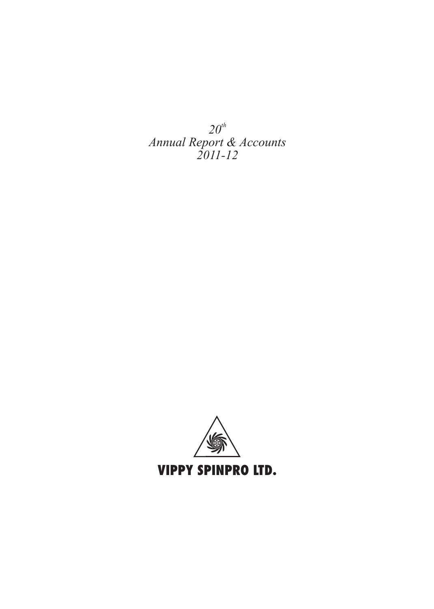$20<sup>th</sup>$ *Annual Report & Accounts 2011-12*

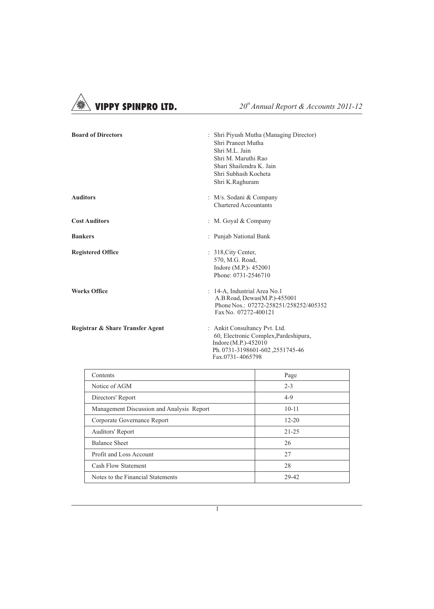

| <b>Board of Directors</b>                   | : Shri Piyush Mutha (Managing Director)<br>Shri Praneet Mutha<br>Shri M.L. Jain<br>Shri M. Maruthi Rao<br>Shari Shailendra K. Jain<br>Shri Subhash Kocheta<br>Shri K.Raghuram |
|---------------------------------------------|-------------------------------------------------------------------------------------------------------------------------------------------------------------------------------|
| <b>Auditors</b>                             | : M/s. Sodani & Company<br><b>Chartered Accountants</b>                                                                                                                       |
| <b>Cost Auditors</b>                        | : M. Goyal & Company                                                                                                                                                          |
| <b>Bankers</b>                              | : Punjab National Bank                                                                                                                                                        |
| <b>Registered Office</b>                    | $: 318$ , City Center,<br>570, M.G. Road,<br>Indore (M.P.) - 452001<br>Phone: 0731-2546710                                                                                    |
| <b>Works Office</b>                         | : 14-A, Industrial Area No.1<br>A.B Road, Dewas(M.P.)-455001<br>Phone Nos.: 07272-258251/258252/405352<br>Fax No. 07272-400121                                                |
| <b>Registrar &amp; Share Transfer Agent</b> | : Ankit Consultancy Pvt. Ltd.<br>60, Electronic Complex, Pardeshipura,<br>Indore (M.P.)-452010<br>Ph. 0731-3198601-602, 2551745-46<br>Fax.0731-4065798                        |

| Contents                                  | Page      |
|-------------------------------------------|-----------|
| Notice of AGM                             | $2 - 3$   |
| Directors' Report                         | $4-9$     |
| Management Discussion and Analysis Report | $10 - 11$ |
| Corporate Governance Report               | $12 - 20$ |
| Auditors' Report                          | $21 - 25$ |
| <b>Balance Sheet</b>                      | 26        |
| Profit and Loss Account                   | 27        |
| Cash Flow Statement                       | 28        |
| Notes to the Financial Statements         | 29-42     |

1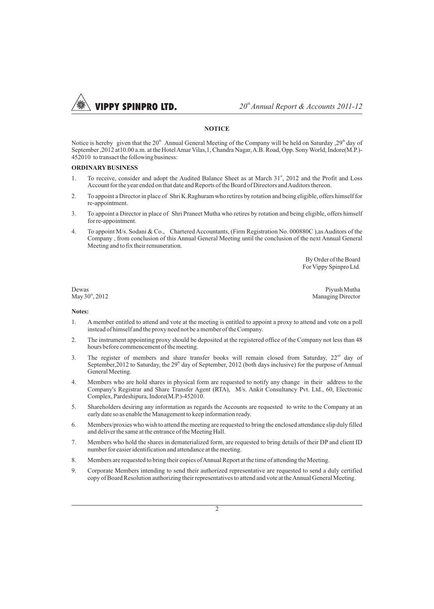

#### **NOTICE**

Notice is hereby given that the 20<sup>th</sup> Annual General Meeting of the Company will be held on Saturday ,29<sup>th</sup> day of September ,2012 at10.00 a.m. at the Hotel Amar Vilas,1, Chandra Nagar, A.B. Road, Opp. Sony World, Indore(M.P.)- 452010 to transact the following business:

#### **ORDINARYBUSINESS**

- 1. To receive, consider and adopt the Audited Balance Sheet as at March 31<sup>st</sup>, 2012 and the Profit and Loss Account for the year ended on that date and Reports of the Board of Directors and Auditors thereon.
- 2. To appoint a Director in place of Shri K.Raghuram who retires by rotation and being eligible, offers himself for re-appointment.
- 3. To appoint a Director in place of Shri Praneet Mutha who retires by rotation and being eligible, offers himself for re-appointment.
- 4. To appoint M/s. Sodani & Co., Chartered Accountants, (Firm Registration No. 000880C ),as Auditors of the Company , from conclusion of this Annual General Meeting until the conclusion of the next Annual General Meeting and to fix their remuneration.

By Order of the Board For Vippy Spinpro Ltd.

Dewas Piyush Mutha<br>
May 30<sup>th</sup>, 2012<br>
Managing Director Managing Director

#### **Notes:**

- 1. A member entitled to attend and vote at the meeting is entitled to appoint a proxy to attend and vote on a poll instead of himself and the proxy need not be a member of the Company.
- 2. The instrument appointing proxy should be deposited at the registered office of the Company not less than 48 hours before commencement of the meeting.
- 3. The register of members and share transfer books will remain closed from Saturday, 22<sup>nd</sup> day of September, 2012 to Saturday, the  $29<sup>th</sup>$  day of September, 2012 (both days inclusive) for the purpose of Annual General Meeting.
- 4. Members who are hold shares in physical form are requested to notify any change in their address to the Company's Registrar and Share Transfer Agent (RTA), M/s. Ankit Consultancy Pvt. Ltd., 60, Electronic Complex, Pardeshipura, Indore(M.P.)-452010.
- 5. Shareholders desiring any information as regards the Accounts are requested to write to the Company at an early date so as enable the Management to keep information ready.
- 6. Members/proxies who wish to attend the meeting are requested to bring the enclosed attendance slip duly filled and deliver the same at the entrance of the Meeting Hall.
- 7. Members who hold the shares in dematerialized form, are requested to bring details of their DP and client ID number for easier identification and attendance at the meeting.
- 8. Members are requested to bring their copies of Annual Report at the time of attending the Meeting.
- 9. Corporate Members intending to send their authorized representative are requested to send a duly certified copy of Board Resolution authorizing their representatives to attend and vote at the Annual General Meeting.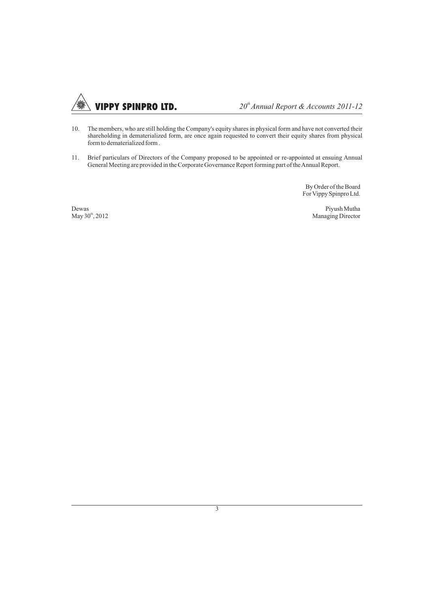

**VIPPY SPINPRO LTD.**  $20^{th}$  *Annual Report & Accounts 2011-12* 

- 10. The members, who are still holding the Company's equity shares in physical form and have not converted their shareholding in dematerialized form, are once again requested to convert their equity shares from physical form to dematerialized form .
- 11. Brief particulars of Directors of the Company proposed to be appointed or re-appointed at ensuing Annual General Meeting are provided in the Corporate Governance Report forming part of the Annual Report.

By Order of the Board For Vippy Spinpro Ltd.

Dewas Piyush Mutha<br>
May 30<sup>th</sup>, 2012<br>
Managing Director Managing Director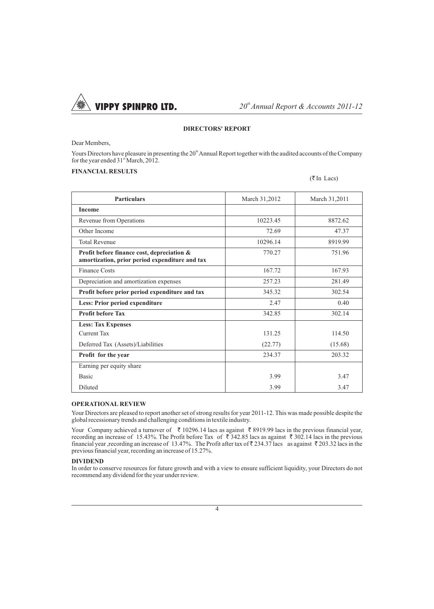

## **DIRECTORS' REPORT**

Dear Members,

Yours Directors have pleasure in presenting the 20<sup>th</sup> Annual Report together with the audited accounts of the Company for the year ended  $31<sup>st</sup>$  March, 2012.

## **FINANCIAL RESULTS**

**Particulars March 31,2012** March 31,2011

 $(\overline{\mathfrak{k}} \text{In} \text{ Lacs})$ 

|                                                                                              | 11141111111112112 | 1114111111112112 |
|----------------------------------------------------------------------------------------------|-------------------|------------------|
| <b>Income</b>                                                                                |                   |                  |
| Revenue from Operations                                                                      | 10223.45          | 8872.62          |
| Other Income                                                                                 | 72.69             | 47.37            |
| <b>Total Revenue</b>                                                                         | 10296.14          | 8919.99          |
| Profit before finance cost, depreciation &<br>amortization, prior period expenditure and tax | 770.27            | 751.96           |
| <b>Finance Costs</b>                                                                         | 167.72            | 167.93           |
| Depreciation and amortization expenses                                                       | 257.23            | 281.49           |
| Profit before prior period expenditure and tax                                               | 345.32            | 302.54           |
| Less: Prior period expenditure                                                               | 2.47              | 0.40             |
| <b>Profit before Tax</b>                                                                     | 342.85            | 302.14           |
| <b>Less: Tax Expenses</b>                                                                    |                   |                  |
| Current Tax                                                                                  | 131.25            | 114.50           |
| Deferred Tax (Assets)/Liabilities                                                            | (22.77)           | (15.68)          |
| Profit for the year                                                                          | 234.37            | 203.32           |
| Earning per equity share                                                                     |                   |                  |
| <b>Basic</b>                                                                                 | 3.99              | 3.47             |
| Diluted                                                                                      | 3.99              | 3.47             |

## **OPERATIONAL REVIEW**

Your Directors are pleased to report another set of strong results for year 2011-12. This was made possible despite the global recessionary trends and challenging conditions in textile industry.

Your Company achieved a turnover of  $\bar{\tau}$  10296.14 lacs as against  $\bar{\tau}$  8919.99 lacs in the previous financial year, recording an increase of 15.43%. The Profit before Tax of  $\overline{5}$  342.85 lacs as against  $\overline{5}$  302.14 lacs in the previous financial year ,recording an increase of 13.47%. The Profit after tax of  $\bar{z}$  234.37 lacs as against  $\bar{z}$  203.32 lacs in the previous financial year, recording an increase of 15.27%.

#### **DIVIDEND**

In order to conserve resources for future growth and with a view to ensure sufficient liquidity, your Directors do not recommend any dividend for the year under review.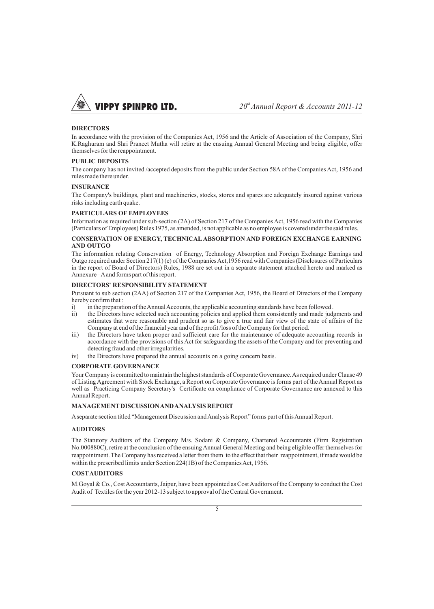

## **DIRECTORS**

In accordance with the provision of the Companies Act, 1956 and the Article of Association of the Company, Shri K.Raghuram and Shri Praneet Mutha will retire at the ensuing Annual General Meeting and being eligible, offer themselves for the reappointment.

#### **PUBLIC DEPOSITS**

The company has not invited /accepted deposits from the public under Section 58A of the Companies Act, 1956 and rules made there under.

## **INSURANCE**

The Company's buildings, plant and machineries, stocks, stores and spares are adequately insured against various risks including earth quake.

#### **PARTICULARS OF EMPLOYEES**

Information as required under sub-section (2A) of Section 217 of the Companies Act, 1956 read with the Companies (Particulars of Employees) Rules 1975, as amended, is not applicable as no employee is covered under the said rules.

#### **CONSERVATION OF ENERGY, TECHNICALABSORPTION AND FOREIGN EXCHANGE EARNING AND OUTGO**

The information relating Conservation of Energy, Technology Absorption and Foreign Exchange Earnings and Outgo required under Section 217(1) (e) of the Companies Act,1956 read with Companies (Disclosures of Particulars in the report of Board of Directors) Rules, 1988 are set out in a separate statement attached hereto and marked as Annexure –Aand forms part of this report.

#### **DIRECTORS' RESPONSIBILITY STATEMENT**

Pursuant to sub section (2AA) of Section 217 of the Companies Act, 1956, the Board of Directors of the Company hereby confirm that :

- i) in the preparation of the Annual Accounts, the applicable accounting standards have been followed .<br>ii) the Directors have selected such accounting policies and applied them consistently and made jud
- the Directors have selected such accounting policies and applied them consistently and made judgments and estimates that were reasonable and prudent so as to give a true and fair view of the state of affairs of the Company at end of the financial year and of the profit /loss of the Company for that period.
- iii) the Directors have taken proper and sufficient care for the maintenance of adequate accounting records in accordance with the provisions of this Act for safeguarding the assets of the Company and for preventing and detecting fraud and other irregularities.
- iv) the Directors have prepared the annual accounts on a going concern basis.

### **CORPORATE GOVERNANCE**

Your Company is committed to maintain the highest standards of Corporate Governance. As required under Clause 49 of Listing Agreement with Stock Exchange, a Report on Corporate Governance is forms part of the Annual Report as well as Practicing Company Secretary's Certificate on compliance of Corporate Governance are annexed to this Annual Report.

## **MANAGEMENTDISCUSSION AND ANALYSIS REPORT**

Aseparate section titled "Management Discussion and Analysis Report" forms part of this Annual Report.

## **AUDITORS**

The Statutory Auditors of the Company M/s. Sodani & Company, Chartered Accountants (Firm Registration No.000880C), retire at the conclusion of the ensuing Annual General Meeting and being eligible offer themselves for reappointment. The Company has received a letter from them to the effect that their reappointment, if made would be within the prescribed limits under Section 224(1B) of the Companies Act, 1956.

## **COSTAUDITORS**

M.Goyal & Co., Cost Accountants, Jaipur, have been appointed as Cost Auditors of the Company to conduct the Cost Audit of Textiles for the year 2012-13 subject to approval of the Central Government.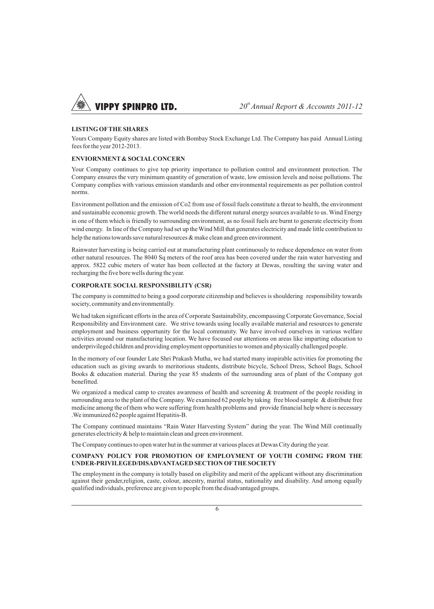

## **LISTING OFTHE SHARES**

Yours Company Equity shares are listed with Bombay Stock Exchange Ltd. The Company has paid Annual Listing fees for the year 2012-2013.

## **ENVIORNMENT& SOCIALCONCERN**

Your Company continues to give top priority importance to pollution control and environment protection. The Company ensures the very minimum quantity of generation of waste, low emission levels and noise pollutions. The Company complies with various emission standards and other environmental requirements as per pollution control norms.

Environment pollution and the emission of Co2 from use of fossil fuels constitute a threat to health, the environment and sustainable economic growth. The world needs the different natural energy sources available to us. Wind Energy in one of them which is friendly to surrounding environment, as no fossil fuels are burnt to generate electricity from wind energy. In line of the Company had set up the Wind Mill that generates electricity and made little contribution to help the nations towards save natural resources & make clean and green environment.

Rainwater harvesting is being carried out at manufacturing plant continuously to reduce dependence on water from other natural resources. The 8040 Sq meters of the roof area has been covered under the rain water harvesting and approx. 5822 cubic meters of water has been collected at the factory at Dewas, resulting the saving water and recharging the five bore wells during the year.

## **CORPORATE SOCIAL RESPONSIBILITY (CSR)**

The company is committed to being a good corporate citizenship and believes is shouldering responsibility towards society, community and environmentally.

We had taken significant efforts in the area of Corporate Sustainability, encompassing Corporate Governance, Social Responsibility and Environment care. We strive towards using locally available material and resources to generate employment and business opportunity for the local community. We have involved ourselves in various welfare activities around our manufacturing location. We have focused our attentions on areas like imparting education to underprivileged children and providing employment opportunities to women and physically challenged people.

In the memory of our founder Late Shri Prakash Mutha, we had started many inspirable activities for promoting the education such as giving awards to meritorious students, distribute bicycle, School Dress, School Bags, School Books & education material. During the year 85 students of the surrounding area of plant of the Company got benefitted.

We organized a medical camp to creates awareness of health and screening & treatment of the people residing in surrounding area to the plant of the Company. We examined 62 people by taking free blood sample & distribute free medicine among the of them who were suffering from health problems and provide financial help where is necessary .We immunized 62 people against Hepatitis-B.

The Company continued maintains "Rain Water Harvesting System" during the year. The Wind Mill continually generates electricity & help to maintain clean and green environment.

The Company continues to open water hut in the summer at various places at Dewas City during the year.

## **COMPANY POLICY FOR PROMOTION OF EMPLOYMENT OF YOUTH COMING FROM THE UNDER-PRIVILEGED/DISADVANTAGED SECTION OFTHE SOCIETY**

The employment in the company is totally based on eligibility and merit of the applicant without any discrimination against their gender,religion, caste, colour, ancestry, marital status, nationality and disability. And among equally qualified individuals, preference are given to people from the disadvantaged groups.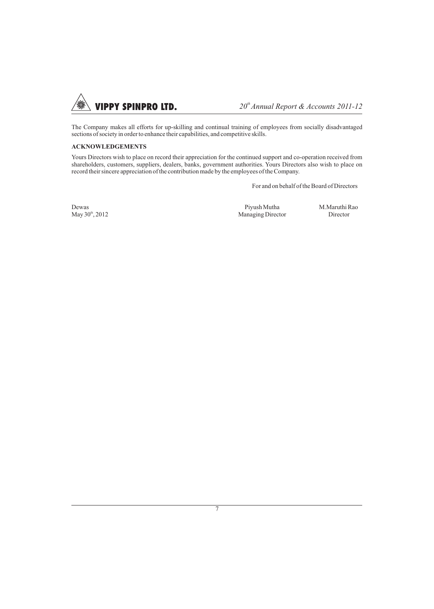

**VIPPY SPINPRO LTD.**  $20^{th}$  Annual Report & Accounts 2011-12

The Company makes all efforts for up-skilling and continual training of employees from socially disadvantaged sections of society in order to enhance their capabilities, and competitive skills.

## **ACKNOWLEDGEMENTS**

Yours Directors wish to place on record their appreciation for the continued support and co-operation received from shareholders, customers, suppliers, dealers, banks, government authorities. Yours Directors also wish to place on record their sincere appreciation of the contribution made by the employees of the Company.

For and on behalf of the Board of Directors

Dewas Piyush Mutha M.Maruthi Rao May 30<sup>th</sup>, 2012 **and 2018** Managing Director Director **Director** Managing Director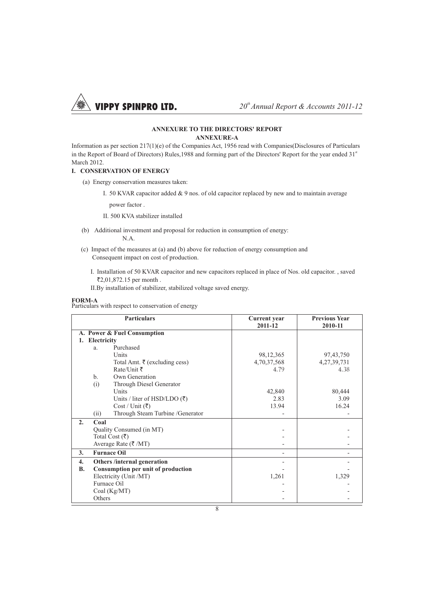

## **ANNEXURE TO THE DIRECTORS' REPORT ANNEXURE-A**

Information as per section 217(1)(e) of the Companies Act, 1956 read with Companies(Disclosures of Particulars in the Report of Board of Directors) Rules,1988 and forming part of the Directors' Report for the year ended 31st March 2012.

## **I. CONSERVATION OF ENERGY**

- (a) Energy conservation measures taken:
	- I. 50 KVAR capacitor added & 9 nos. of old capacitor replaced by new and to maintain average power factor .

II. 500 KVA stabilizer installed

- (b) Additional investment and proposal for reduction in consumption of energy: N.A.
- (c) Impact of the measures at (a) and (b) above for reduction of energy consumption and Consequent impact on cost of production.
	- I. Installation of 50 KVAR capacitor and new capacitors replaced in place of Nos. old capacitor. , saved  $\bar{z}$ 2,01,872.15 per month.

II.By installation of stabilizer, stabilized voltage saved energy.

## **FORM-A**

Particulars with respect to conservation of energy

|                        |                | <b>Particulars</b>                   | <b>Current</b> year<br>2011-12 | <b>Previous Year</b><br>2010-11 |
|------------------------|----------------|--------------------------------------|--------------------------------|---------------------------------|
|                        |                | A. Power & Fuel Consumption          |                                |                                 |
|                        | 1. Electricity |                                      |                                |                                 |
|                        | a.             | Purchased                            |                                |                                 |
|                        |                | Units                                | 98, 12, 365                    | 97, 43, 750                     |
|                        |                | Total Amt. ₹ (excluding cess)        | 4,70,37,568                    | 4, 27, 39, 731                  |
|                        |                | Rate/Unit ₹                          | 4.79                           | 4.38                            |
|                        | $b$            | Own Generation                       |                                |                                 |
|                        | (i)            | Through Diesel Generator             |                                |                                 |
|                        |                | Units                                | 42,840                         | 80,444                          |
|                        |                | Units / liter of HSD/LDO (₹)         | 2.83                           | 3.09                            |
|                        |                | Cost / Unit $(\bar{\zeta})$          | 13.94                          | 16.24                           |
|                        | (ii)           | Through Steam Turbine /Generator     |                                |                                 |
| 2.                     | Coal           |                                      |                                |                                 |
|                        |                | Quality Consumed (in MT)             |                                |                                 |
|                        |                | Total Cost $(\overline{\zeta})$      |                                |                                 |
|                        |                | Average Rate ( $\overline{\xi}$ /MT) |                                |                                 |
| 3.                     |                | <b>Furnace Oil</b>                   |                                |                                 |
| 4.                     |                | Others /internal generation          |                                |                                 |
| <b>B.</b>              |                | Consumption per unit of production   |                                |                                 |
| Electricity (Unit /MT) |                |                                      | 1,261                          | 1,329                           |
| Furnace Oil            |                |                                      |                                |                                 |
|                        |                | Coal (Kg/MT)                         |                                |                                 |
|                        | Others         |                                      |                                |                                 |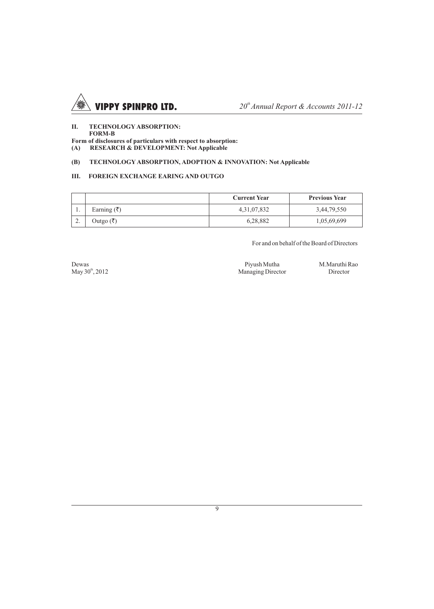

**II. TECHNOLOGY ABSORPTION: FORM-B** Form of disclosures of particulars with respect to absorption:<br>
(A) RESEARCH & DEVELOPMENT: Not Applicable

**RESEARCH & DEVELOPMENT: Not Applicable** 

## **(B) TECHNOLOGY ABSORPTION, ADOPTION & INNOVATION: Not Applicable**

## **III. FOREIGN EXCHANGE EARING AND OUTGO**

|          |                         | <b>Current Year</b> | <b>Previous Year</b> |
|----------|-------------------------|---------------------|----------------------|
|          | Earning $(\bar{\zeta})$ | 4,31,07,832         | 3,44,79,550          |
| <u>.</u> | Outgo (₹)               | 6,28,882            | 1,05,69,699          |

For and on behalf of the Board of Directors

Dewas Piyush Mutha M.Maruthi Rao May 30<sup>th</sup>, 2012 Managing Director Director Director Managing Director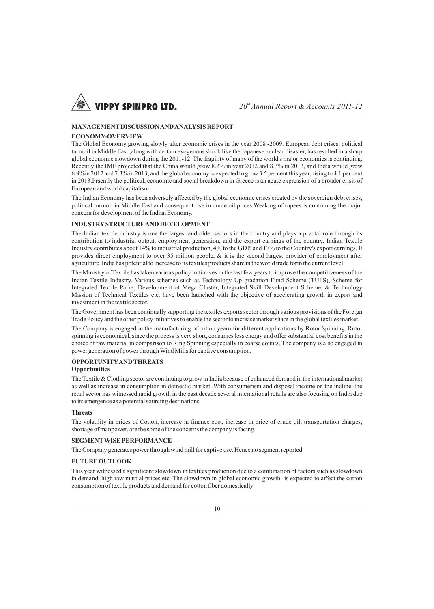

## **MANAGEMENTDISCUSSION AND ANALYSIS REPORT**

### **ECONOMY-OVERVIEW**

The Global Economy growing slowly after economic crises in the year 2008 -2009. European debt crises, political turmoil in Middle East ,along with certain exogenous shock like the Japanese nuclear disaster, has resulted in a sharp global economic slowdown during the 2011-12. The fragility of many of the world's major economies is continuing. Recently the IMF projected that the China would grow 8.2% in year 2012 and 8.3% in 2013, and India would grow 6.9%in 2012 and 7.3% in 2013, and the global economy is expected to grow 3.5 per cent this year, rising to 4.1 per cent in 2013.Prsently the political, economic and social breakdown in Greece is an acute expression of a broader crisis of European and world capitalism.

The Indian Economy has been adversely affected by the global economic crises created by the sovereign debt crises, political turmoil in Middle East and consequent rise in crude oil prices.Weaking of rupees is continuing the major concern for development of the Indian Economy.

## **INDUSTRYSTRUCTURE AND DEVELOPMENT**

The Indian textile industry is one the largest and older sectors in the country and plays a pivotal role through its contribution to industrial output, employment generation, and the export earnings of the country. Indian Textile Industry contributes about 14% to industrial production, 4% to the GDP, and 17% to the Country's export earnings. It provides direct employment to over 35 million people, & it is the second largest provider of employment after agriculture. India has potential to increase to its textiles products share in the world trade form the current level.

The Ministry of Textile has taken various policy initiatives in the last few years to improve the competitiveness of the Indian Textile Industry. Various schemes such as Technology Up gradation Fund Scheme (TUFS), Scheme for Integrated Textile Parks, Development of Mega Cluster, Integrated Skill Development Scheme, & Technology Mission of Technical Textiles etc. have been launched with the objective of accelerating growth in export and investment in the textile sector.

The Government has been continually supporting the textiles exports sector through various provisions of the Foreign Trade Policy and the other policy initiatives to enable the sector to increase market share in the global textiles market.

The Company is engaged in the manufacturing of cotton yearn for different applications by Rotor Spinning. Rotor spinning is economical, since the process is very short, consumes less energy and offer substantial cost benefits in the choice of raw material in comparison to Ring Spinning especially in coarse counts. The company is also engaged in power generation of power through Wind Mills for captive consumption.

## **OPPORTUNITYAND THREATS**

## **Opportunities**

The Textile & Clothing sector are continuing to grow in India because of enhanced demand in the international market as well as increase in consumption in domestic market .With consumerism and disposal income on the incline, the retail sector has witnessed rapid growth in the past decade several international retails are also focusing on India due to its emergence as a potential sourcing destinations.

## **Threats**

The volatility in prices of Cotton, increase in finance cost, increase in price of crude oil, transportation charges, shortage of manpower, are the some of the concerns the company is facing.

## **SEGMENTWISE PERFORMANCE**

The Company generates power through wind mill for captive use. Hence no segment reported.

## **FUTURE OUTLOOK**

This year witnessed a significant slowdown in textiles production due to a combination of factors such as slowdown in demand, high raw martial prices etc. The slowdown in global economic growth is expected to affect the cotton consumption of textile products and demand for cotton fiber domestically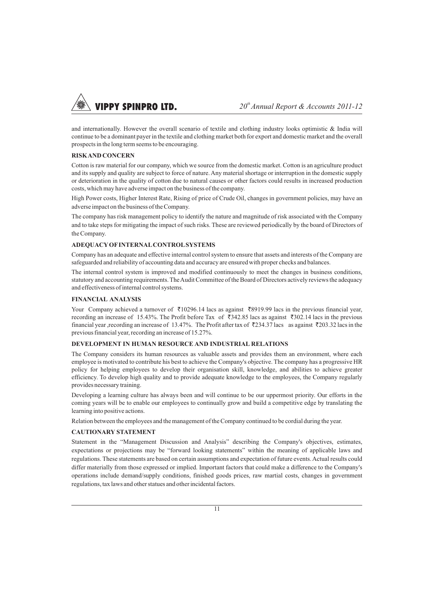

and internationally. However the overall scenario of textile and clothing industry looks optimistic & India will continue to be a dominant payer in the textile and clothing market both for export and domestic market and the overall prospects in the long term seems to be encouraging.

## **RISK AND CONCERN**

Cotton is raw material for our company, which we source from the domestic market. Cotton is an agriculture product and its supply and quality are subject to force of nature. Any material shortage or interruption in the domestic supply or deterioration in the quality of cotton due to natural causes or other factors could results in increased production costs, which may have adverse impact on the business of the company.

High Power costs, Higher Interest Rate, Rising of price of Crude Oil, changes in government policies, may have an adverse impact on the business of the Company.

The company has risk management policy to identify the nature and magnitude of risk associated with the Company and to take steps for mitigating the impact of such risks. These are reviewed periodically by the board of Directors of the Company.

## **ADEQUACYOFINTERNALCONTROLSYSTEMS**

Company has an adequate and effective internal control system to ensure that assets and interests of the Company are safeguarded and reliability of accounting data and accuracy are ensured with proper checks and balances.

The internal control system is improved and modified continuously to meet the changes in business conditions, statutory and accounting requirements. The Audit Committee of the Board of Directors actively reviews the adequacy and effectiveness of internal control systems.

## **FINANCIAL ANALYSIS**

Your Company achieved a turnover of  $\bar{\tau}$ 10296.14 lacs as against  $\bar{\tau}$ 8919.99 lacs in the previous financial year, recording an increase of 15.43%. The Profit before Tax of  $\overline{3}342.85$  lacs as against  $\overline{3}302.14$  lacs in the previous financial year ,recording an increase of 13.47%. The Profit after tax of  $\overline{2}24.37$  lacs as against  $\overline{2}203.32$  lacs in the previous financial year, recording an increase of 15.27%.

## **DEVELOPMENT IN HUMAN RESOURCE AND INDUSTRIAL RELATIONS**

The Company considers its human resources as valuable assets and provides them an environment, where each employee is motivated to contribute his best to achieve the Company's objective. The company has a progressive HR policy for helping employees to develop their organisation skill, knowledge, and abilities to achieve greater efficiency. To develop high quality and to provide adequate knowledge to the employees, the Company regularly provides necessary training.

Developing a learning culture has always been and will continue to be our uppermost priority. Our efforts in the coming years will be to enable our employees to continually grow and build a competitive edge by translating the learning into positive actions.

Relation between the employees and the management of the Company continued to be cordial during the year.

## **CAUTIONARY STATEMENT**

Statement in the "Management Discussion and Analysis" describing the Company's objectives, estimates, expectations or projections may be "forward looking statements" within the meaning of applicable laws and regulations. These statements are based on certain assumptions and expectation of future events. Actual results could differ materially from those expressed or implied. Important factors that could make a difference to the Company's operations include demand/supply conditions, finished goods prices, raw martial costs, changes in government regulations, tax laws and other statues and other incidental factors.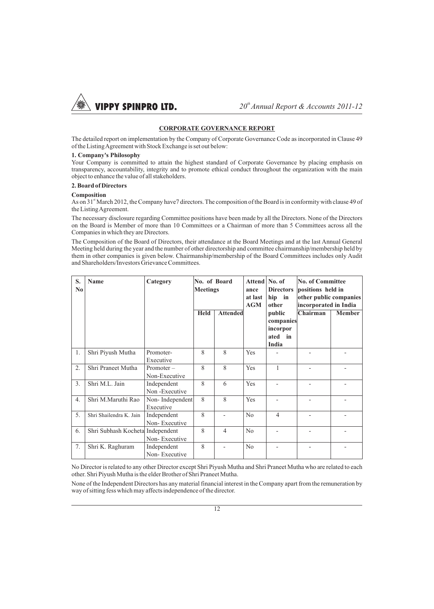

## **CORPORATE GOVERNANCE REPORT**

The detailed report on implementation by the Company of Corporate Governance Code as incorporated in Clause 49 of the Listing Agreement with Stock Exchange is set out below:

## **1. Company's Philosophy**

Your Company is committed to attain the highest standard of Corporate Governance by placing emphasis on transparency, accountability, integrity and to promote ethical conduct throughout the organization with the main object to enhance the value of all stakeholders.

## **2. Board of Directors**

## **Composition**

As on 31<sup>st</sup> March 2012, the Company have7 directors. The composition of the Board is in conformity with clause 49 of the Listing Agreement.

The necessary disclosure regarding Committee positions have been made by all the Directors. None of the Directors on the Board is Member of more than 10 Committees or a Chairman of more than 5 Committees across all the Companies in which they are Directors.

The Composition of the Board of Directors, their attendance at the Board Meetings and at the last Annual General Meeting held during the year and the number of other directorship and committee chairmanship/membership held by them in other companies is given below. Chairmanship/membership of the Board Committees includes only Audit and Shareholders/Investors Grievance Committees.

| S.<br>$\bf No$ | <b>Name</b>                      | Category                      | No. of Board<br><b>Meetings</b> |                 |                |                                                        | Attend No. of<br>ance<br>at last<br><b>AGM</b> | <b>Directors</b><br>hip in<br>other | <b>No. of Committee</b><br>positions held in<br>other public companies<br>incorporated in India |  |
|----------------|----------------------------------|-------------------------------|---------------------------------|-----------------|----------------|--------------------------------------------------------|------------------------------------------------|-------------------------------------|-------------------------------------------------------------------------------------------------|--|
|                |                                  |                               | <b>Held</b>                     | <b>Attended</b> |                | public<br>companies<br>incorpor<br>ated<br>in<br>India | $\overline{\text{Chairman}}$                   | <b>Member</b>                       |                                                                                                 |  |
| 1.             | Shri Piyush Mutha                | Promoter-<br>Executive        | $\mathbf{8}$                    | 8               | Yes            |                                                        |                                                |                                     |                                                                                                 |  |
| 2.             | Shri Praneet Mutha               | $Promoter -$<br>Non-Executive | 8                               | 8               | Yes            | 1                                                      |                                                |                                     |                                                                                                 |  |
| 3.             | Shri M.L. Jain                   | Independent<br>Non-Executive  | $\mathbf{8}$                    | 6               | Yes            |                                                        |                                                |                                     |                                                                                                 |  |
| 4.             | Shri M.Maruthi Rao               | Non-Independent<br>Executive  | $\mathbf{8}$                    | 8               | Yes            |                                                        |                                                |                                     |                                                                                                 |  |
| 5.             | Shri Shailendra K. Jain          | Independent<br>Non-Executive  | 8                               |                 | N <sub>o</sub> | $\overline{4}$                                         |                                                |                                     |                                                                                                 |  |
| 6.             | Shri Subhash Kocheta Independent | Non-Executive                 | 8                               | $\overline{4}$  | N <sub>0</sub> |                                                        |                                                |                                     |                                                                                                 |  |
| 7.             | Shri K. Raghuram                 | Independent<br>Non-Executive  | 8                               |                 | N <sub>0</sub> |                                                        |                                                |                                     |                                                                                                 |  |

No Director is related to any other Director except Shri Piyush Mutha and Shri Praneet Mutha who are related to each other. Shri Piyush Mutha is the elder Brother of Shri Praneet Mutha.

None of the Independent Directors has any material financial interest in the Company apart from the remuneration by way of sitting fess which may affects independence of the director.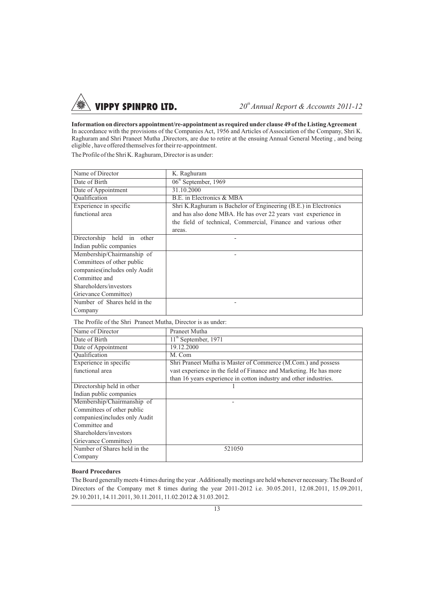

**Information on directors appointment/re-appointment as required under clause 49 of the Listing Agreement** In accordance with the provisions of the Companies Act, 1956 and Articles of Association of the Company, Shri K. Raghuram and Shri Praneet Mutha ,Directors, are due to retire at the ensuing Annual General Meeting , and being eligible , have offered themselves for their re-appointment.

The Profile of the Shri K. Raghuram, Director is as under:

| Name of Director              | K. Raghuram                                                      |
|-------------------------------|------------------------------------------------------------------|
| Date of Birth                 | $06th$ September, 1969                                           |
| Date of Appointment           | 31.10.2000                                                       |
| <b>Oualification</b>          | B.E. in Electronics & MBA                                        |
| Experience in specific        | Shri K.Raghuram is Bachelor of Engineering (B.E.) in Electronics |
| functional area               | and has also done MBA. He has over 22 years vast experience in   |
|                               | the field of technical, Commercial, Finance and various other    |
|                               | areas.                                                           |
| Directorship held in other    |                                                                  |
| Indian public companies       |                                                                  |
| Membership/Chairmanship of    |                                                                  |
| Committees of other public    |                                                                  |
| companies(includes only Audit |                                                                  |
| Committee and                 |                                                                  |
| Shareholders/investors        |                                                                  |
| Grievance Committee)          |                                                                  |
| Number of Shares held in the  |                                                                  |
| Company                       |                                                                  |

The Profile of the Shri Praneet Mutha, Director is as under:

| Name of Director               | Praneet Mutha                                                      |
|--------------------------------|--------------------------------------------------------------------|
| Date of Birth                  | $11th$ September, 1971                                             |
| Date of Appointment            | 19.12.2000                                                         |
| <b>Oualification</b>           | M. Com                                                             |
| Experience in specific         | Shri Praneet Mutha is Master of Commerce (M.Com.) and possess      |
| functional area                | vast experience in the field of Finance and Marketing. He has more |
|                                | than 16 years experience in cotton industry and other industries.  |
| Directorship held in other     |                                                                    |
| Indian public companies        |                                                                    |
| Membership/Chairmanship of     |                                                                    |
| Committees of other public     |                                                                    |
| companies (includes only Audit |                                                                    |
| Committee and                  |                                                                    |
| Shareholders/investors         |                                                                    |
| Grievance Committee)           |                                                                    |
| Number of Shares held in the   | 521050                                                             |
| Company                        |                                                                    |

## **Board Procedures**

The Board generally meets 4 times during the year . Additionally meetings are held whenever necessary. The Board of Directors of the Company met 8 times during the year 2011-2012 i.e. 30.05.2011, 12.08.2011, 15.09.2011, 29.10.2011, 14.11.2011, 30.11.2011, 11.02.2012 & 31.03.2012.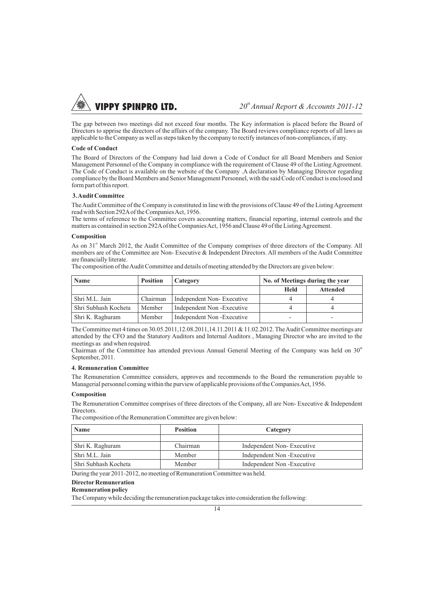

The gap between two meetings did not exceed four months. The Key information is placed before the Board of Directors to apprise the directors of the affairs of the company. The Board reviews compliance reports of all laws as applicable to the Company as well as steps taken by the company to rectify instances of non-compliances, if any.

#### **Code of Conduct**

The Board of Directors of the Company had laid down a Code of Conduct for all Board Members and Senior Management Personnel of the Company in compliance with the requirement of Clause 49 of the Listing Agreement. The Code of Conduct is available on the website of the Company .A declaration by Managing Director regarding compliance by the Board Members and Senior Management Personnel, with the said Code of Conduct is enclosed and form part of this report.

#### **3. Audit Committee**

The Audit Committee of the Company is constituted in line with the provisions of Clause 49 of the Listing Agreement read with Section 292Aof the Companies Act, 1956.

The terms of reference to the Committee covers accounting matters, financial reporting, internal controls and the matters as contained in section 292Aof the Companies Act, 1956 and Clause 49 of the Listing Agreement.

#### **Composition**

As on 31<sup><sup>st</sup> March 2012, the Audit Committee of the Company comprises of three directors of the Company. All</sup> members are of the Committee are Non- Executive & Independent Directors. All members of the Audit Committee are financially literate.

The composition of the Audit Committee and details of meeting attended by the Directors are given below:

| <b>Name</b>          | <b>Position</b> | Category                  | No. of Meetings during the year |                 |
|----------------------|-----------------|---------------------------|---------------------------------|-----------------|
|                      |                 |                           | <b>Held</b>                     | <b>Attended</b> |
| Shri M.L. Jain       | Chairman        | Independent Non-Executive |                                 |                 |
| Shri Subhash Kocheta | Member          | Independent Non-Executive |                                 |                 |
| Shri K. Raghuram     | Member          | Independent Non-Executive | $\overline{\phantom{0}}$        |                 |

The Committee met 4 times on 30.05.2011,12.08.2011,14.11.2011 & 11.02.2012. The Audit Committee meetings are attended by the CFO and the Statutory Auditors and Internal Auditors , Managing Director who are invited to the meetings as and when required.

Chairman of the Committee has attended previous Annual General Meeting of the Company was held on  $30<sup>th</sup>$ September, 2011.

#### **4. Remuneration Committee**

The Remuneration Committee considers, approves and recommends to the Board the remuneration payable to Managerial personnel coming within the purview of applicable provisions of the Companies Act, 1956.

## **Composition**

The Remuneration Committee comprises of three directors of the Company, all are Non- Executive & Independent Directors.

The composition of the Remuneration Committee are given below:

| <b>Name</b>          | <b>Position</b> | Category                    |
|----------------------|-----------------|-----------------------------|
|                      |                 |                             |
| Shri K. Raghuram     | Chairman        | Independent Non-Executive   |
| Shri M.L. Jain       | Member          | Independent Non - Executive |
| Shri Subhash Kocheta | Member          | Independent Non-Executive   |

During the year 2011-2012, no meeting of Remuneration Committee was held.

#### **Director Remuneration**

#### **Remuneration policy**

The Company while deciding the remuneration package takes into consideration the following: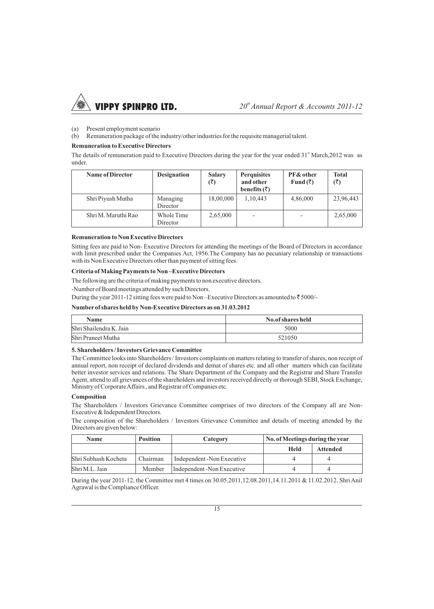

#### (a) Present employment scenario

(b) Remuneration package of the industry/other industries for the requisite managerial talent.

#### **Remuneration to Executive Directors**

The details of remuneration paid to Executive Directors during the year for the year ended 31<sup>st</sup> March,2012 was as under.

| <b>Name of Director</b> | <b>Designation</b>     | <b>Salary</b><br>$(\overline{\zeta})$ | <b>Perquisites</b><br>and other<br>benefits $(\bar{\zeta})$ | PF& other<br>Fund $(\bar{\zeta})$ | <b>Total</b><br>(3) |
|-------------------------|------------------------|---------------------------------------|-------------------------------------------------------------|-----------------------------------|---------------------|
| Shri Piyush Mutha       | Managing<br>Director   | 18,00,000                             | 1,10,443                                                    | 4,86,000                          | 23,96,443           |
| Shri M. Maruthi Rao     | Whole Time<br>Director | 2,65,000                              | $\overline{\phantom{0}}$                                    |                                   | 2,65,000            |

## **Remuneration to Non Executive Directors**

Sitting fees are paid to Non- Executive Directors for attending the meetings of the Board of Directors in accordance with limit prescribed under the Companies Act, 1956.The Company has no pecuniary relationship or transactions with its Non Executive Directors other than payment of sitting fees.

### **Criteria of Making Payments to Non –Executive Directors**

The following are the criteria of making payments to non executive directors.

-Number of Board meetings attended by such Directors.

During the year 2011-12 sitting fees were paid to Non-Executive Directors as amounted to  $\bar{\tau}$  5000/-

## **Number of shares held by Non-Executive Directors as on 31.03.2012**

| <b>Name</b>             | No.of shares held |
|-------------------------|-------------------|
| Shri Shailendra K. Jain | 5000              |
| Shri Praneet Mutha      | 521050            |

## **5. Shareholders / Investors Grievance Committee**

The Committee looks into Shareholders / Investors complaints on matters relating to transfer of shares, non receipt of annual report, non receipt of declared dividends and demat of shares etc. and all other matters which can facilitate better investor services and relations. The Share Department of the Company and the Registrar and Share Transfer Agent, attend to all grievances of the shareholders and investors received directly or thorough SEBI, Stock Exchange, Ministry of Corporate Affairs , and Registrar of Companies etc.

#### **Composition**

The Shareholders / Investors Grievance Committee comprises of two directors of the Company all are Non-Executive & Independent Directors.

The composition of the Shareholders / Investors Grievance Committee and details of meeting attended by the Directors are given below:

| Name                 | <b>Position</b> | Category                    | No. of Meetings during the year |                 |
|----------------------|-----------------|-----------------------------|---------------------------------|-----------------|
|                      |                 |                             | <b>Held</b>                     | <b>Attended</b> |
| Shri Subhash Kocheta | Chairman        | Independent - Non Executive |                                 |                 |
| Shri M.L. Jain       | Member          | Independent - Non Executive |                                 |                 |

During the year 2011-12, the Committee met 4 times on 30.05.2011,12.08.2011,14.11.2011 & 11.02.2012. Shri Anil Agrawal is the Compliance Officer.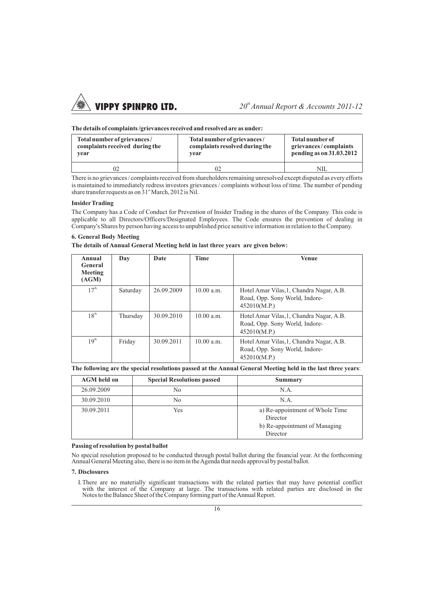

### **The details of complaints /grievances received and resolved are as under:**

| Total number of grievances /   | Total number of grievances/    | <b>Total number of</b>   |
|--------------------------------|--------------------------------|--------------------------|
| complaints received during the | complaints resolved during the | grievances/complaints    |
| vear                           | vear                           | pending as on 31.03.2012 |
|                                |                                | NIL.                     |

There is no grievances / complaints received from shareholders remaining unresolved except disputed as every efforts is maintained to immediately redress investors grievances / complaints without loss of time. The number of pending share transfer requests as on  $31<sup>st</sup> March, 2012$  is Nil.

## **InsiderTrading**

The Company has a Code of Conduct for Prevention of Insider Trading in the shares of the Company. This code is applicable to all Directors/Officers/Designated Employees. The Code ensures the prevention of dealing in Company's Shares by person having access to unpublished price sensitive information in relation to the Company.

### **6. General Body Meeting**

**The details of Annual General Meeting held in last three years are given below:**

| Annual<br>General<br>Meeting<br>(AGM) | Day      | Date       | <b>Time</b> | Venue                                                                                      |
|---------------------------------------|----------|------------|-------------|--------------------------------------------------------------------------------------------|
| 17 <sup>th</sup>                      | Saturday | 26.09.2009 | 10.00 a.m.  | Hotel Amar Vilas, 1, Chandra Nagar, A.B.<br>Road, Opp. Sony World, Indore-<br>452010(M.P.) |
| $18^{\text{th}}$                      | Thursday | 30.09.2010 | 10.00 a.m.  | Hotel Amar Vilas, 1, Chandra Nagar, A.B.<br>Road, Opp. Sony World, Indore-<br>452010(M.P.) |
| $10^{th}$                             | Friday   | 30.09.2011 | 10.00 a.m.  | Hotel Amar Vilas, 1, Chandra Nagar, A.B.<br>Road, Opp. Sony World, Indore-<br>452010(M.P.) |

**The following are the special resolutions passed at the Annual General Meeting held in the last three years**:

| <b>AGM</b> held on | <b>Special Resolutions passed</b> | <b>Summary</b>                                                                           |
|--------------------|-----------------------------------|------------------------------------------------------------------------------------------|
| 26.09.2009         | No                                | N.A.                                                                                     |
| 30.09.2010         | No                                | N.A.                                                                                     |
| 30.09.2011         | Yes                               | a) Re-appointment of Whole Time<br>Director<br>b) Re-appointment of Managing<br>Director |

#### **Passing of resolution by postal ballot**

No special resolution proposed to be conducted through postal ballot during the financial year. At the forthcoming Annual General Meeting also, there is no item in the Agenda that needs approval by postal ballot.

#### **7. Disclosures**

I.There are no materially significant transactions with the related parties that may have potential conflict with the interest of the Company at large. The transactions with related parties are disclosed in the Notes to the Balance Sheet of the Company forming part of the Annual Report.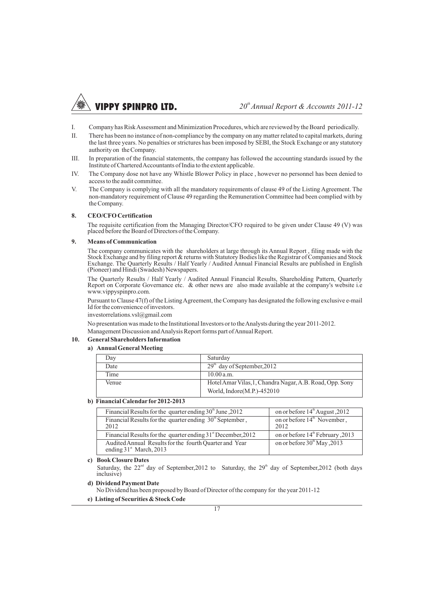

- I. Company has Risk Assessment and Minimization Procedures, which are reviewed by the Board periodically.
- II. There has been no instance of non-compliance by the company on any matter related to capital markets, during the last three years. No penalties or strictures has been imposed by SEBI, the Stock Exchange or any statutory authority on the Company.
- III. In preparation of the financial statements, the company has followed the accounting standards issued by the Institute of Chartered Accountants of India to the extent applicable.
- IV. The Company dose not have any Whistle Blower Policy in place , however no personnel has been denied to access to the audit committee.
- V. The Company is complying with all the mandatory requirements of clause 49 of the Listing Agreement. The non-mandatory requirement of Clause 49 regarding the Remuneration Committee had been complied with by the Company.

## **8. CEO/CFO Certification**

The requisite certification from the Managing Director/CFO required to be given under Clause 49 (V) was placed before the Board of Directors of the Company.

#### **9. Means of Communication**

The company communicates with the shareholders at large through its Annual Report , filing made with the Stock Exchange and by filing report & returns with Statutory Bodies like the Registrar of Companies and Stock Exchange. The Quarterly Results / Half Yearly / Audited Annual Financial Results are published in English (Pioneer) and Hindi (Swadesh) Newspapers.

The Quarterly Results / Half Yearly / Audited Annual Financial Results, Shareholding Pattern, Quarterly Report on Corporate Governance etc. & other news are also made available at the company's website i.e www.vippyspinpro.com.

Pursuant to Clause 47(f) of the Listing Agreement, the Company has designated the following exclusive e-mail Id for the convenience of investors.

investorrelations.vsl@gmail.com

No presentation was made to the Institutional Investors or to the Analysts during the year 2011-2012. Management Discussion and Analysis Report forms part of Annual Report.

## **10. General Shareholders Information**

## **a) Annual General Meeting**

| Day   | Saturday                                                 |
|-------|----------------------------------------------------------|
| Date  | $29m$ day of September, 2012                             |
| Time  | 10.00 a.m.                                               |
| Venue | Hotel Amar Vilas, 1, Chandra Nagar, A.B. Road, Opp. Sony |
|       | World, Indore $(M.P.)$ -452010                           |

## **b) Financial Calendar for 2012-2013**

| Financial Results for the quarter ending $30^{\circ}$ June, 2012                    | on or before 14 <sup>th</sup> August, 2012      |
|-------------------------------------------------------------------------------------|-------------------------------------------------|
| Financial Results for the quarter ending $30th$ September,<br>2012                  | on or before 14 <sup>th</sup> November,<br>2012 |
| Financial Results for the quarter ending $31st$ December, 2012                      | on or before 14 <sup>th</sup> February, 2013    |
| Audited Annual Results for the fourth Quarter and Year<br>ending $31st$ March, 2013 | on or before 30 <sup>th</sup> May, 2013         |

#### **c) Book Closure Dates**

Saturday, the  $22<sup>nd</sup>$  day of September,2012 to Saturday, the  $29<sup>th</sup>$  day of September,2012 (both days inclusive)

**d) Dividend Payment Date**

No Dividend has been proposed by Board of Director of the company for the year 2011-12

**e) Listing of Securities & Stock Code**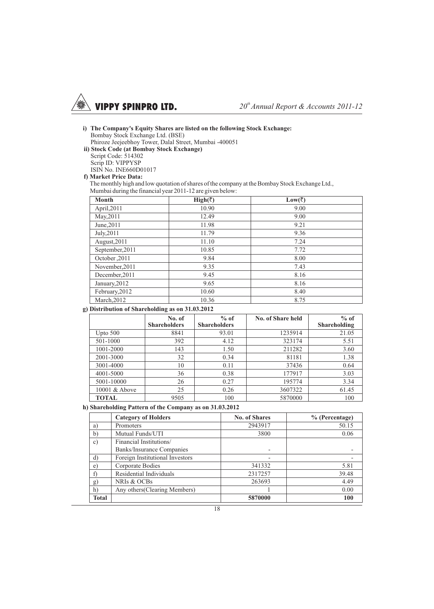

**i) The Company's Equity Shares are listed on the following Stock Exchange:** Bombay Stock Exchange Ltd. (BSE) Phiroze Jeejeebhoy Tower, Dalal Street, Mumbai -400051 **ii) Stock Code (at Bombay Stock Exchange)**

Script Code: 514302

 Scrip ID: VIPPYSP ISIN No. INE660D01017

## **f) Market Price Data:**

The monthly high and low quotation of shares of the company at the Bombay Stock Exchange Ltd., Mumbai during the financial year 2011-12 are given below:

| <b>Month</b>    | High(3) | Low(₹) |
|-----------------|---------|--------|
| April, 2011     | 10.90   | 9.00   |
| May, 2011       | 12.49   | 9.00   |
| June, 2011      | 11.98   | 9.21   |
| July, 2011      | 11.79   | 9.36   |
| August, 2011    | 11.10   | 7.24   |
| September, 2011 | 10.85   | 7.72   |
| October, 2011   | 9.84    | 8.00   |
| November, 2011  | 9.35    | 7.43   |
| December, 2011  | 9.45    | 8.16   |
| January, 2012   | 9.65    | 8.16   |
| February, 2012  | 10.60   | 8.40   |
| March, 2012     | 10.36   | 8.75   |

## **g) Distribution of Shareholding as on 31.03.2012**

|               | No. of<br><b>Shareholders</b> | $%$ of<br><b>Shareholders</b> | No. of Share held | $%$ of<br><b>Shareholding</b> |
|---------------|-------------------------------|-------------------------------|-------------------|-------------------------------|
| Upto $500$    | 8841                          | 93.01                         | 1235914           | 21.05                         |
| 501-1000      | 392                           | 4.12                          | 323174            | 5.51                          |
| 1001-2000     | 143                           | 1.50                          | 211282            | 3.60                          |
| 2001-3000     | 32                            | 0.34                          | 81181             | 1.38                          |
| 3001-4000     | 10                            | 0.11                          | 37436             | 0.64                          |
| 4001-5000     | 36                            | 0.38                          | 177917            | 3.03                          |
| 5001-10000    | 26                            | 0.27                          | 195774            | 3.34                          |
| 10001 & Above | 25                            | 0.26                          | 3607322           | 61.45                         |
| <b>TOTAL</b>  | 9505                          | 100                           | 5870000           | 100                           |

## **h) Shareholding Pattern of the Company as on 31.03.2012**

|               | <b>Category of Holders</b>      | <b>No. of Shares</b> | $%$ (Percentage) |
|---------------|---------------------------------|----------------------|------------------|
| a)            | Promoters                       | 2943917              | 50.15            |
| $\mathbf{b}$  | Mutual Funds/UTI                | 3800                 | 0.06             |
| $\mathbf{c})$ | Financial Institutions/         |                      |                  |
|               | Banks/Insurance Companies       |                      |                  |
| d)            | Foreign Institutional Investors |                      |                  |
| $\epsilon$    | Corporate Bodies                | 341332               | 5.81             |
|               | Residential Individuals         | 2317257              | 39.48            |
| g)            | NRIs & OCBs                     | 263693               | 4.49             |
| h)            | Any others (Clearing Members)   |                      | 0.00             |
| <b>Total</b>  |                                 | 5870000              | 100              |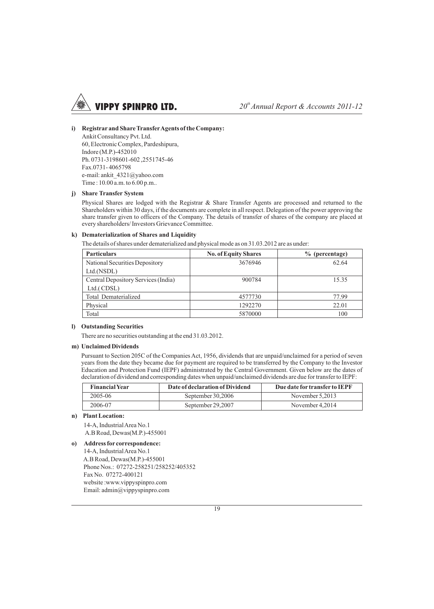

## **i) Registrar and Share TransferAgents of the Company:**

Ankit Consultancy Pvt. Ltd. 60, Electronic Complex, Pardeshipura, Indore (M.P.)-452010 Ph. 0731-3198601-602 ,2551745-46 Fax.0731- 4065798 e-mail: ankit\_4321@yahoo.com Time : 10.00 a.m. to 6.00 p.m..

#### **j) Share Transfer System**

Physical Shares are lodged with the Registrar & Share Transfer Agents are processed and returned to the Shareholders within 30 days, if the documents are complete in all respect. Delegation of the power approving the share transfer given to officers of the Company. The details of transfer of shares of the company are placed at every shareholders/ Investors Grievance Committee.

## **k) Dematerialization of Shares and Liquidity**

The details of shares under dematerialized and physical mode as on 31.03.2012 are as under:

| <b>Particulars</b>                  | <b>No. of Equity Shares</b> | $\%$ (percentage) |
|-------------------------------------|-----------------------------|-------------------|
| National Securities Depository      | 3676946                     | 62.64             |
| Ltd.(NSDL)                          |                             |                   |
| Central Depository Services (India) | 900784                      | 15.35             |
| Ltd. (CDSL)                         |                             |                   |
| Total Dematerialized                | 4577730                     | 77.99             |
| Physical                            | 1292270                     | 22.01             |
| Total                               | 5870000                     | 100               |

## **l) Outstanding Securities**

There are no securities outstanding at the end 31.03.2012.

#### **m) Unclaimed Dividends**

Pursuant to Section 205C of the Companies Act, 1956, dividends that are unpaid/unclaimed for a period of seven years from the date they became due for payment are required to be transferred by the Company to the Investor Education and Protection Fund (IEPF) administrated by the Central Government. Given below are the dates of declaration of dividend and corresponding dates when unpaid/unclaimed dividends are due for transfer to IEPF:

| <b>Financial Year</b> | Date of declaration of Dividend | Due date for transfer to IEPF |
|-----------------------|---------------------------------|-------------------------------|
| 2005-06               | September 30,2006               | November 5.2013               |
| 2006-07               | September 29,2007               | November 4.2014               |

#### **n) Plant Location:**

 14-A, Industrial Area No.1 A.B Road, Dewas(M.P.)-455001

## **o) Address for correspondence:**

 14-A, Industrial Area No.1 A.B Road, Dewas(M.P.)-455001 Phone Nos.: 07272-258251/258252/405352 Fax No. 07272-400121 website :www.vippyspinpro.com Email: admin@vippyspinpro.com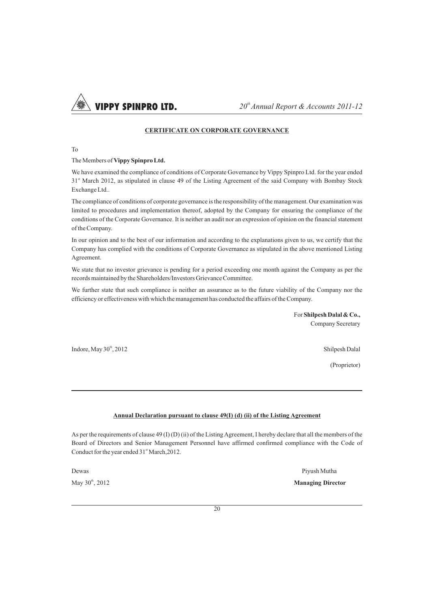

## **CERTIFICATE ON CORPORATE GOVERNANCE**

To

## The Members of **Vippy Spinpro Ltd.**

We have examined the compliance of conditions of Corporate Governance by Vippy Spinpro Ltd. for the year ended 31<sup>st</sup> March 2012, as stipulated in clause 49 of the Listing Agreement of the said Company with Bombay Stock Exchange Ltd..

The compliance of conditions of corporate governance is the responsibility of the management. Our examination was limited to procedures and implementation thereof, adopted by the Company for ensuring the compliance of the conditions of the Corporate Governance. It is neither an audit nor an expression of opinion on the financial statement of the Company.

In our opinion and to the best of our information and according to the explanations given to us, we certify that the Company has complied with the conditions of Corporate Governance as stipulated in the above mentioned Listing Agreement.

We state that no investor grievance is pending for a period exceeding one month against the Company as per the records maintained by the Shareholders/Investors Grievance Committee.

We further state that such compliance is neither an assurance as to the future viability of the Company nor the efficiency or effectiveness with which the management has conducted the affairs of the Company.

> For **Shilpesh Dalal & Co.,** Company Secretary

Indore, May 30<sup>th</sup>, 2012 Shilpesh Dalal

(Proprietor)

## **Annual Declaration pursuant to clause 49(I) (d) (ii) of the Listing Agreement**

As per the requirements of clause 49 (I) (D) (ii) of the Listing Agreement, I hereby declare that all the members of the Board of Directors and Senior Management Personnel have affirmed confirmed compliance with the Code of Conduct for the year ended  $31<sup>st</sup> March,2012$ .

Dewas Piyush Mutha

May  $30^{\text{th}}$ , 2012 **Managing Director**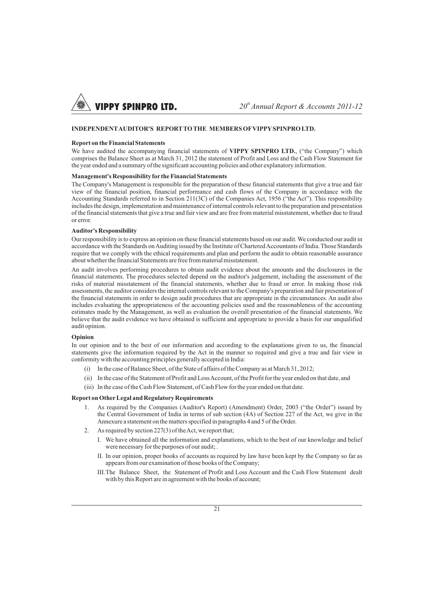

#### **INDEPENDENTAUDITOR'S REPORTTO THE MEMBERS OFVIPPYSPINPRO LTD.**

#### **Report on the Financial Statements**

We have audited the accompanying financial statements of **VIPPY SPINPRO LTD.**, ("the Company") which comprises the Balance Sheet as at March 31, 2012 the statement of Profit and Loss and the Cash Flow Statement for the year ended and a summary of the significant accounting policies and other explanatory information.

## **Management's Responsibility for the Financial Statements**

The Company's Management is responsible for the preparation of these financial statements that give a true and fair view of the financial position, financial performance and cash flows of the Company in accordance with the Accounting Standards referred to in Section 211(3C) of the Companies Act, 1956 ("the Act"). This responsibility includes the design, implementation and maintenance of internal controls relevant to the preparation and presentation of the financial statements that give a true and fair view and are free from material misstatement, whether due to fraud or error.

#### **Auditor's Responsibility**

Our responsibility is to express an opinion on these financial statements based on our audit. We conducted our audit in accordance with the Standards on Auditing issued by the Institute of Chartered Accountants of India. Those Standards require that we comply with the ethical requirements and plan and perform the audit to obtain reasonable assurance about whether the financial Statements are free from material misstatement.

An audit involves performing procedures to obtain audit evidence about the amounts and the disclosures in the financial statements. The procedures selected depend on the auditor's judgement, including the assessment of the risks of material misstatement of the financial statements, whether due to fraud or error. In making those risk assessments, the auditor considers the internal controls relevant to the Company's preparation and fair presentation of the financial statements in order to design audit procedures that are appropriate in the circumstances. An audit also includes evaluating the appropriateness of the accounting policies used and the reasonableness of the accounting estimates made by the Management, as well as evaluation the overall presentation of the financial statements. We believe that the audit evidence we have obtained is sufficient and appropriate to provide a basis for our unqualified audit opinion.

## **Opinion**

In our opinion and to the best of our information and according to the explanations given to us, the financial statements give the information required by the Act in the manner so required and give a true and fair view in conformity with the accounting principles generally accepted in India:

- (i) In the case of Balance Sheet, of the State of affairs of the Company as at March 31, 2012;
- (ii) In the case of the Statement of Profit and Loss Account, of the Profit for the year ended on that date, and
- (iii) In the case of the Cash Flow Statement, of Cash Flow for the year ended on that date.

#### **Report on OtherLegal and Regulatory Requirements**

- 1. As required by the Companies (Auditor's Report) (Amendment) Order, 2003 ("the Order") issued by the Central Government of India in terms of sub section (4A) of Section 227 of the Act, we give in the Annexure a statement on the matters specified in paragraphs 4 and 5 of the Order.
- 2. As required by section 227(3) of the Act, we report that;
	- I. We have obtained all the information and explanations, which to the best of our knowledge and belief were necessary for the purposes of our audit; .
	- II. In our opinion, proper books of accounts as required by law have been kept by the Company so far as appears from our examination of those books of the Company;
	- III.The Balance Sheet, the Statement of Profit and Loss Account and the Cash Flow Statement dealt with by this Report are in agreement with the books of account;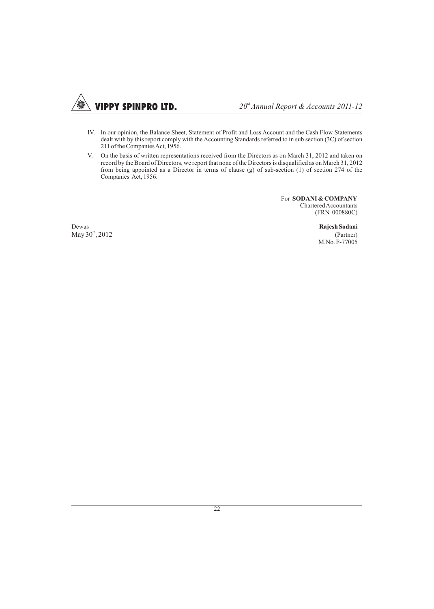

**VIPPY SPINPRO LTD.**  $20^{th}$  Annual Report & Accounts 2011-12

- IV. In our opinion, the Balance Sheet, Statement of Profit and Loss Account and the Cash Flow Statements dealt with by this report comply with the Accounting Standards referred to in sub section (3C) of section 211 of the Companies Act, 1956.
- V. On the basis of written representations received from the Directors as on March 31, 2012 and taken on record by the Board of Directors, we report that none of the Directors is disqualified as on March 31, 2012 from being appointed as a Director in terms of clause (g) of sub-section (1) of section 274 of the Companies Act, 1956.

For **SODANI & COMPANY** Chartered Accountants (FRN 000880C)

Dewas **Rajesh Sodani**   $\text{May } 30^{\text{th}}$ ,  $2012$  (Partner)

M.No. F-77005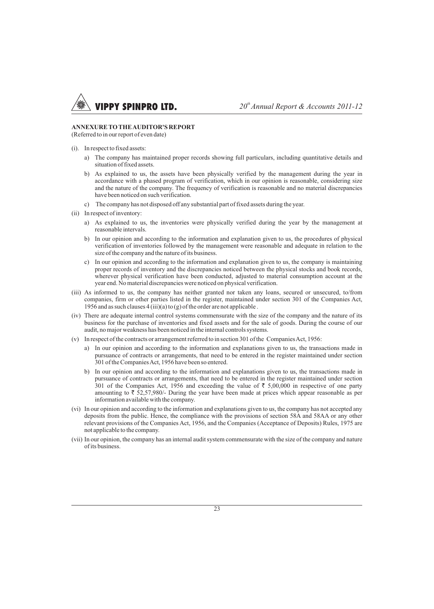

## **ANNEXURE TO THE AUDITOR'S REPORT**

(Referred to in our report of even date)

- (i). In respect to fixed assets:
	- a) The company has maintained proper records showing full particulars, including quantitative details and situation of fixed assets.
	- b) As explained to us, the assets have been physically verified by the management during the year in accordance with a phased program of verification, which in our opinion is reasonable, considering size and the nature of the company. The frequency of verification is reasonable and no material discrepancies have been noticed on such verification.
	- c) The company has not disposed off any substantial part of fixed assets during the year.
- (ii) In respect of inventory:
	- a) As explained to us, the inventories were physically verified during the year by the management at reasonable intervals.
	- b) In our opinion and according to the information and explanation given to us, the procedures of physical verification of inventories followed by the management were reasonable and adequate in relation to the size of the company and the nature of its business.
	- c) In our opinion and according to the information and explanation given to us, the company is maintaining proper records of inventory and the discrepancies noticed between the physical stocks and book records, wherever physical verification have been conducted, adjusted to material consumption account at the year end. No material discrepancies were noticed on physical verification.
- (iii) As informed to us, the company has neither granted nor taken any loans, secured or unsecured, to/from companies, firm or other parties listed in the register, maintained under section 301 of the Companies Act, 1956 and as such clauses  $4 (iii)(a)$  to  $(g)$  of the order are not applicable.
- (iv) There are adequate internal control systems commensurate with the size of the company and the nature of its business for the purchase of inventories and fixed assets and for the sale of goods. During the course of our audit, no major weakness has been noticed in the internal controls systems.
- (v) In respect of the contracts or arrangement referred to in section 301 of the Companies Act, 1956:
	- a) In our opinion and according to the information and explanations given to us, the transactions made in pursuance of contracts or arrangements, that need to be entered in the register maintained under section 301 of the Companies Act, 1956 have been so entered.
	- b) In our opinion and according to the information and explanations given to us, the transactions made in pursuance of contracts or arrangements, that need to be entered in the register maintained under section 301 of the Companies Act, 1956 and exceeding the value of  $\bar{\tau}$  5,00,000 in respective of one party amounting to  $\bar{\tau}$  52,57,980/- During the year have been made at prices which appear reasonable as per information available with the company.
- (vi) In our opinion and according to the information and explanations given to us, the company has not accepted any deposits from the public. Hence, the compliance with the provisions of section 58A and 58AA or any other relevant provisions of the Companies Act, 1956, and the Companies (Acceptance of Deposits) Rules, 1975 are not applicable to the company.
- (vii) In our opinion, the company has an internal audit system commensurate with the size of the company and nature of its business.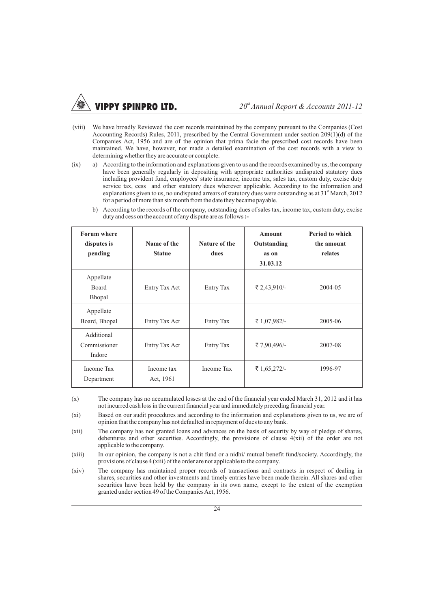

- (viii) We have broadly Reviewed the cost records maintained by the company pursuant to the Companies (Cost Accounting Records) Rules, 2011, prescribed by the Central Government under section 209(1)(d) of the Companies Act, 1956 and are of the opinion that prima facie the prescribed cost records have been maintained. We have, however, not made a detailed examination of the cost records with a view to determining whether they are accurate or complete.
- (ix) a) According to the information and explanations given to us and the records examined by us, the company have been generally regularly in depositing with appropriate authorities undisputed statutory dues including provident fund, employees' state insurance, income tax, sales tax, custom duty, excise duty service tax, cess and other statutory dues wherever applicable. According to the information and explanations given to us, no undisputed arrears of statutory dues were outstanding as at  $31<sup>st</sup>$  March, 2012 for a period of more than six month from the date they became payable.

| b) According to the records of the company, outstanding dues of sales tax, income tax, custom duty, excise |
|------------------------------------------------------------------------------------------------------------|
| duty and cess on the account of any dispute are as follows :-                                              |

| Forum where<br>disputes is<br>pending | Name of the<br><b>Statue</b> | Nature of the<br>dues | <b>Amount</b><br>Outstanding<br>as on<br>31.03.12 | Period to which<br>the amount<br>relates |
|---------------------------------------|------------------------------|-----------------------|---------------------------------------------------|------------------------------------------|
| Appellate<br><b>Board</b><br>Bhopal   | Entry Tax Act                | Entry Tax             | ₹ 2,43,910/-                                      | 2004-05                                  |
| Appellate<br>Board, Bhopal            | Entry Tax Act                | Entry Tax             | ₹ 1,07,982/-                                      | 2005-06                                  |
| Additional<br>Commissioner<br>Indore  | Entry Tax Act                | Entry Tax             | ₹7,90,496/-                                       | 2007-08                                  |
| Income Tax<br>Department              | Income tax<br>Act, 1961      | Income Tax            | ₹ 1,65,272/-                                      | 1996-97                                  |

<sup>(</sup>x) The company has no accumulated losses at the end of the financial year ended March 31, 2012 and it has not incurred cash loss in the current financial year and immediately preceding financial year.

- (xi) Based on our audit procedures and according to the information and explanations given to us, we are of opinion that the company has not defaulted in repayment of dues to any bank.
- (xii) The company has not granted loans and advances on the basis of security by way of pledge of shares, debentures and other securities. Accordingly, the provisions of clause 4(xii) of the order are not applicable to the company.
- (xiii) In our opinion, the company is not a chit fund or a nidhi/ mutual benefit fund/society. Accordingly, the provisions of clause 4 (xiii) of the order are not applicable to the company.
- (xiv) The company has maintained proper records of transactions and contracts in respect of dealing in shares, securities and other investments and timely entries have been made therein. All shares and other securities have been held by the company in its own name, except to the extent of the exemption granted under section 49 of the Companies Act, 1956.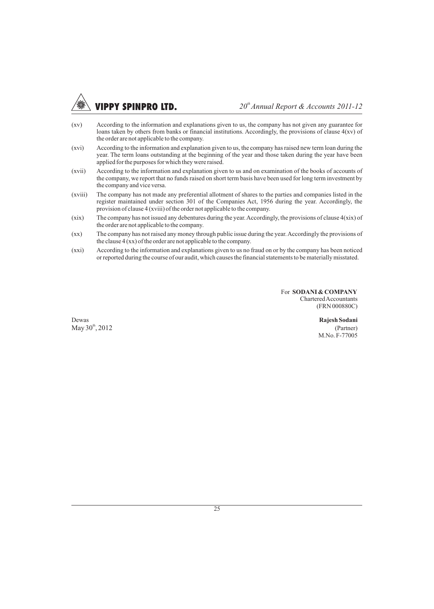

- (xv) According to the information and explanations given to us, the company has not given any guarantee for loans taken by others from banks or financial institutions. Accordingly, the provisions of clause 4(xv) of the order are not applicable to the company.
- (xvi) According to the information and explanation given to us, the company has raised new term loan during the year. The term loans outstanding at the beginning of the year and those taken during the year have been applied for the purposes for which they were raised.
- (xvii) According to the information and explanation given to us and on examination of the books of accounts of the company, we report that no funds raised on short term basis have been used for long term investment by the company and vice versa.
- (xviii) The company has not made any preferential allotment of shares to the parties and companies listed in the register maintained under section 301 of the Companies Act, 1956 during the year. Accordingly, the provision of clause 4 (xviii) of the order not applicable to the company.
- (xix) The company has not issued any debentures during the year. Accordingly, the provisions of clause 4(xix) of the order are not applicable to the company.
- (xx) The company has not raised any money through public issue during the year. Accordingly the provisions of the clause 4 (xx) of the order are not applicable to the company.
- (xxi) According to the information and explanations given to us no fraud on or by the company has been noticed or reported during the course of our audit, which causes the financial statements to be materially misstated.

For **SODANI & COMPANY** Chartered Accountants (FRN 000880C)

Dewas **Rajesh Sodani**   $\text{May } 30^{\text{th}}$ ,  $2012$  (Partner)

M.No. F-77005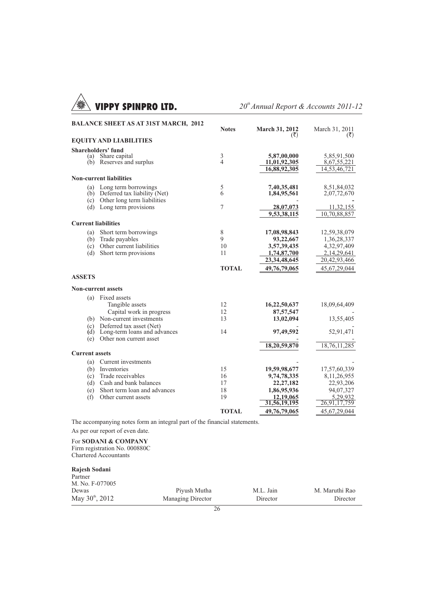

|                            | <b>BALANCE SHEET AS AT 31ST MARCH, 2012</b>                                                   | <b>Notes</b>                  | <b>March 31, 2012</b>                                                      | March 31, 2011                                                            |
|----------------------------|-----------------------------------------------------------------------------------------------|-------------------------------|----------------------------------------------------------------------------|---------------------------------------------------------------------------|
|                            | <b>EQUITY AND LIABILITIES</b>                                                                 |                               | $($ ₹)                                                                     | $(\overline{\mathfrak{F}})$                                               |
| (a)<br>(b)                 | <b>Shareholders' fund</b><br>Share capital<br>Reserves and surplus                            | 3<br>$\overline{\mathcal{A}}$ | 5,87,00,000<br>11,01,92,305<br>16,88,92,305                                | 5,85,91,500<br>8,67,55,221<br>14,53,46,721                                |
|                            | <b>Non-current liabilities</b>                                                                |                               |                                                                            |                                                                           |
| (a)                        | Long term borrowings<br>(b) Deferred tax liability (Net)<br>(c) Other long term liabilities   | 5<br>6                        | 7,40,35,481<br>1,84,95,561                                                 | 8,51,84,032<br>2,07,72,670                                                |
|                            | (d) Long term provisions                                                                      | 7                             | 28,07,073<br>9,53,38,115                                                   | 11,32,155<br>10,70,88,857                                                 |
| <b>Current liabilities</b> |                                                                                               |                               |                                                                            |                                                                           |
| (a)<br>(b)<br>(c)<br>(d)   | Short term borrowings<br>Trade payables<br>Other current liabilities<br>Short term provisions | 8<br>9<br>10<br>11            | 17,08,98,843<br>93,22,667<br>3,57,39,435<br>1,74,87,700<br>23, 34, 48, 645 | 12,59,38,079<br>1,36,28,337<br>4,32,97,409<br>2,14,29,641<br>20,42,93,466 |
|                            |                                                                                               | <b>TOTAL</b>                  | 49,76,79,065                                                               | 45,67,29,044                                                              |
| <b>ASSETS</b>              |                                                                                               |                               |                                                                            |                                                                           |
|                            | <b>Non-current assets</b>                                                                     |                               |                                                                            |                                                                           |
| (a)<br>(b)                 | Fixed assets<br>Tangible assets<br>Capital work in progress<br>Non-current investments        | 12<br>12<br>13                | 16,22,50,637<br>87, 57, 547<br>13,02,094                                   | 18,09,64,409<br>13,55,405                                                 |
| (c)<br>(e)                 | Deferred tax asset (Net)<br>(d) Long-term loans and advances<br>Other non current asset       | 14                            | 97,49,592                                                                  | 52,91,471                                                                 |
| <b>Current assets</b>      |                                                                                               |                               | 18,20,59,870                                                               | 18,76,11,285                                                              |
| (a)                        | Current investments<br>Inventories                                                            | 15                            |                                                                            |                                                                           |
| (b)<br>(c)                 | Trade receivables                                                                             | 16                            | 19,59,98,677<br>9,74,78,335                                                | 17,57,60,339<br>8,11,26,955                                               |
| (d)<br>(e)                 | Cash and bank balances<br>Short term loan and advances                                        | 17<br>18                      | 22, 27, 182                                                                | 22,93,206<br>94,07,327                                                    |
| (f)                        | Other current assets                                                                          | 19                            | 1,86,95,936<br>12,19,065<br>31,56,19,195                                   | 5,29,932<br>26,91,17,759                                                  |
|                            |                                                                                               | <b>TOTAL</b>                  | 49,76,79,065                                                               | 45,67,29,044                                                              |

The accompanying notes form an integral part of the financial statements. As per our report of even date.

# For **SODANI & COMPANY** Firm registration No. 000880C

Chartered Accountants

## **Rajesh Sodani** Partner

| M. No. F-077005             |                   |           |                |
|-----------------------------|-------------------|-----------|----------------|
| Dewas                       | Piyush Mutha      | M.L. Jain | M. Maruthi Rao |
| May $30^{\text{th}}$ , 2012 | Managing Director | Director  | Director       |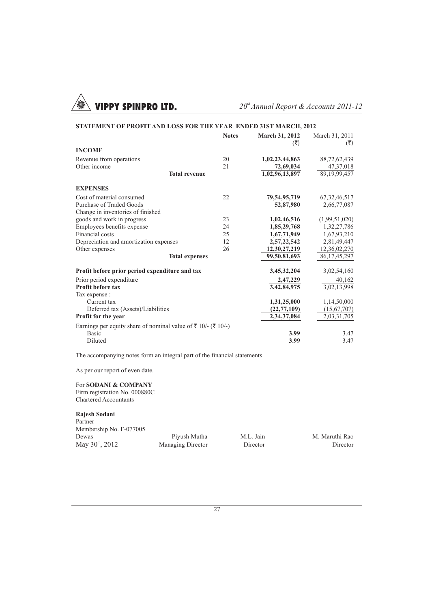

| STATEMENT OF PROFIT AND LOSS FOR THE YEAR ENDED 31ST MARCH, 2012 |              |                |                      |
|------------------------------------------------------------------|--------------|----------------|----------------------|
|                                                                  | <b>Notes</b> | March 31, 2012 | March 31, 2011       |
|                                                                  |              | $($ ₹)         | $(\overline{\zeta})$ |
| <b>INCOME</b>                                                    |              |                |                      |
| Revenue from operations                                          | 20           | 1,02,23,44,863 | 88,72,62,439         |
| Other income                                                     | 2.1          | 72,69,034      | 47,37,018            |
| <b>Total revenue</b>                                             |              | 1,02,96,13,897 | 89, 19, 99, 457      |
| <b>EXPENSES</b>                                                  |              |                |                      |
| Cost of material consumed                                        | 22           | 79,54,95,719   | 67, 32, 46, 517      |
| Purchase of Traded Goods                                         |              | 52,87,980      | 2,66,77,087          |
| Change in inventories of finished                                |              |                |                      |
| goods and work in progress                                       | 23           | 1,02,46,516    | (1,99,51,020)        |
| Employees benefits expense                                       | 24           | 1,85,29,768    | 1,32,27,786          |
| Financial costs                                                  | 25           | 1,67,71,949    | 1,67,93,210          |
| Depreciation and amortization expenses                           | 12           | 2,57,22,542    | 2,81,49,447          |
| Other expenses                                                   | 26           | 12,30,27,219   | 12,36,02,270         |
| <b>Total expenses</b>                                            |              | 99,50,81,693   | 86, 17, 45, 297      |
| Profit before prior period expenditure and tax                   |              | 3,45,32,204    | 3,02,54,160          |
| Prior period expenditure                                         |              | 2,47,229       | 40,162               |
| Profit before tax                                                |              | 3,42,84,975    | 3,02,13,998          |
| Tax expense :                                                    |              |                |                      |
| Current tax                                                      |              | 1,31,25,000    | 1,14,50,000          |
| Deferred tax (Assets)/Liabilities                                |              | (22, 77, 109)  | (15,67,707)          |
| Profit for the year                                              |              | 2,34,37,084    | 2,03,31,705          |
| Earnings per equity share of nominal value of ₹ 10/- (₹ 10/-)    |              |                |                      |
| <b>Basic</b>                                                     |              | 3.99           | 3.47                 |
| Diluted                                                          |              | 3.99           | 3.47                 |
|                                                                  |              |                |                      |

The accompanying notes form an integral part of the financial statements.

As per our report of even date.

## For **SODANI & COMPANY**

Firm registration No. 000880C Chartered Accountants

## **Rajesh Sodani**

Partner Membership No. F-077005 Dewas Piyush Mutha M.L. Jain M. Maruthi Rao May 30<sup>th</sup>, 2012 Managing Director Director Director Director

Managing Director Director Director Director Director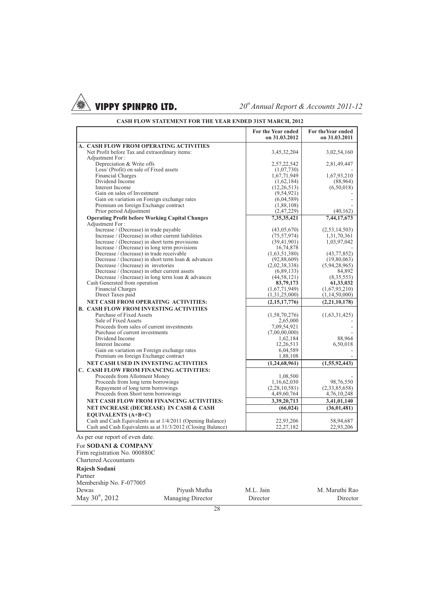

|                                                                               | For the Year ended<br>on 31.03.2012 | For the Year ended<br>on 31.03.2011 |
|-------------------------------------------------------------------------------|-------------------------------------|-------------------------------------|
| <b>A. CASH FLOW FROM OPERATING ACTIVITIES</b>                                 |                                     |                                     |
| Net Profit before Tax and extraordinary items:                                | 3,45,32,204                         | 3,02,54,160                         |
| Adjustment For:                                                               |                                     |                                     |
| Depreciation & Write offs                                                     | 2,57,22,542                         | 2,81,49,447                         |
| Loss/ (Profit) on sale of Fixed assets                                        | (1,07,730)                          |                                     |
| <b>Financial Charges</b>                                                      | 1,67,71,949                         | 1,67,93,210                         |
| Dividend Income                                                               | (1,62,184)                          | (88,964)                            |
| Interest Income                                                               | (12, 26, 513)                       | (6,50,018)                          |
| Gain on sales of Investment                                                   | (9,54,921)                          |                                     |
| Gain on variation on Foreign exchange rates                                   | (6,04,589)                          |                                     |
| Premium on foreign Exchange contract                                          | (1,88,108)                          |                                     |
| Prior period Adjustment                                                       | (2,47,229)                          | (40, 162)                           |
| <b>Operating Profit before Working Capital Changes</b><br>Adjustment For:     | 7, 35, 35, 421                      | 7,44,17,673                         |
| Increase / (Decrease) in trade payable                                        | (43,05,670)                         | (2, 53, 14, 503)                    |
| Increase / (Decrease) in other current liabilities                            | (75, 57, 974)                       | 1,31,70,361                         |
| Increase / (Decrease) in short term provisions                                | (39, 41, 901)                       | 1,03,97,042                         |
| Increase / (Decrease) in long term provisions                                 | 16,74,878                           |                                     |
| Decrease / (Increase) in trade receivable                                     | (1,63,51,380)                       | (43, 77, 852)                       |
| Decrease / (Increase) in short term loan & advances                           | (92, 88, 609)                       | (19,80,063)                         |
| Decrease / (Increase) in invetories                                           | (2,02,38,338)                       | (5,94,28,965)                       |
| Decrease / (Increase) in other current assets                                 | (6,89,133)                          | 84,892                              |
| Decrease / (Increase) in long term loan & advances                            | (44, 58, 121)                       | (8,35,553)                          |
| Cash Generated from operation                                                 | 83,79,173                           | 61,33,032                           |
| <b>Financial Charges</b><br>Direct Taxes paid                                 | (1,67,71,949)                       | (1,67,93,210)                       |
|                                                                               | (1,31,25,000)                       | (1, 14, 50, 000)                    |
| NET CASH FROM OPERATING ACTIVITIES:                                           | (2,15,17,776)                       | (2,21,10,178)                       |
| <b>B. CASH FLOW FROM INVESTING ACTIVITIES</b>                                 |                                     |                                     |
| Purchase of Fixed Assets                                                      | (1,58,70,276)                       | (1,63,31,425)                       |
| Sale of Fixed Assets                                                          | 2,65,000                            |                                     |
| Proceeds from sales of current investments<br>Purchase of current investments | 7,09,54,921                         |                                     |
| Dividend Income                                                               | (7,00,00,000)                       | 88.964                              |
| Interest Income                                                               | 1,62,184<br>12,26,513               | 6,50,018                            |
| Gain on variation on Foreign exchange rates                                   | 6,04,589                            |                                     |
| Premium on foreign Exchange contract                                          | 1,88,108                            |                                     |
| <b>NET CASH USED IN INVESTING ACTIVITIES</b>                                  | (1,24,68,961)                       | (1,55,92,443)                       |
| C. CASH FLOW FROM FINANCING ACTIVITIES:                                       |                                     |                                     |
| Proceeds from Allotment Money                                                 | 1,08,500                            |                                     |
| Proceeds from long term borrowings                                            | 1,16,62,030                         | 98,76,550                           |
| Repayment of long term borrowings                                             | (2, 28, 10, 581)                    | (2,33,85,658)                       |
| Proceeds from Short term borrowings                                           | 4,49,60,764                         | 4,76,10,248                         |
| NET CASH FLOW FROM FINANCING ACTIVITIES:                                      | 3,39,20,713                         | 3,41,01,140                         |
| NET INCREASE (DECREASE) IN CASH & CASH                                        | (66, 024)                           | (36, 01, 481)                       |
| <b>EQUIVALENTS (A+B+C)</b>                                                    |                                     |                                     |
| Cash and Cash Equivalents as at 1/4/2011 (Opening Balance)                    | 22,93,206                           | 58,94,687                           |
| Cash and Cash Equivalents as at 31/3/2012 (Closing Balance)                   | 22, 27, 182                         | 22,93,206                           |
|                                                                               |                                     |                                     |
| As per our report of even date.                                               |                                     |                                     |
| For SODANI & COMPANY                                                          |                                     |                                     |
| Firm registration No. 000880C                                                 |                                     |                                     |

Chartered Accountants **Rajesh Sodani**

| <b>IMPORT SOMMAN</b>        |                   |           |                |
|-----------------------------|-------------------|-----------|----------------|
| Partner                     |                   |           |                |
| Membership No. F-077005     |                   |           |                |
| Dewas                       | Piyush Mutha      | M.L. Jain | M. Maruthi Rao |
| May $30^{\text{th}}$ , 2012 | Managing Director | Director  | Director       |
|                             |                   |           |                |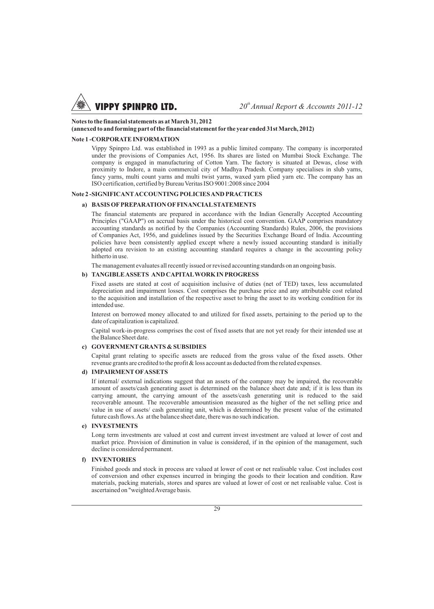

#### **Notes to the financial statements as at March 31, 2012**

**(annexed to and forming part of the financial statement for the year ended 31st March, 2012)**

#### **Note 1 -CORPORATE INFORMATION**

Vippy Spinpro Ltd. was established in 1993 as a public limited company. The company is incorporated under the provisions of Companies Act, 1956. Its shares are listed on Mumbai Stock Exchange. The company is engaged in manufacturing of Cotton Yarn. The factory is situated at Dewas, close with proximity to Indore, a main commercial city of Madhya Pradesh. Company specialises in slub yarns, fancy yarns, multi count yarns and multi twist yarns, waxed yarn plied yarn etc. The company has an ISO certification, certified by Bureau Veritas ISO 9001:2008 since 2004

#### **Note 2 -SIGNIFICANTACCOUNTING POLICIES AND PRACTICES**

## **a) BASIS OFPREPARATION OFFINANCIALSTATEMENTS**

The financial statements are prepared in accordance with the Indian Generally Accepted Accounting Principles ("GAAP") on accrual basis under the historical cost convention. GAAP comprises mandatory accounting standards as notified by the Companies (Accounting Standards) Rules, 2006, the provisions of Companies Act, 1956, and guidelines issued by the Securities Exchange Board of India. Accounting policies have been consistently applied except where a newly issued accounting standard is initially adopted ora revision to an existing accounting standard requires a change in the accounting policy hitherto in use.

The management evaluates all recently issued or revised accounting standards on an ongoing basis.

## **b) TANGIBLE ASSETS AND CAPITALWORK IN PROGRESS**

Fixed assets are stated at cost of acquisition inclusive of duties (net of TED) taxes, less accumulated depreciation and impairment losses. Cost comprises the purchase price and any attributable cost related to the acquisition and installation of the respective asset to bring the asset to its working condition for its intended use.

Interest on borrowed money allocated to and utilized for fixed assets, pertaining to the period up to the date of capitalization is capitalized.

Capital work-in-progress comprises the cost of fixed assets that are not yet ready for their intended use at the Balance Sheet date.

#### **c) GOVERNMENTGRANTS & SUBSIDIES**

Capital grant relating to specific assets are reduced from the gross value of the fixed assets. Other revenue grants are credited to the profit & loss account as deducted from the related expenses.

#### **d) IMPAIRMENTOFASSETS**

If internal/ external indications suggest that an assets of the company may be impaired, the recoverable amount of assets/cash generating asset is determined on the balance sheet date and; if it is less than its carrying amount, the carrying amount of the assets/cash generating unit is reduced to the said recoverable amount. The recoverable amountision measured as the higher of the net selling price and value in use of assets/ cash generating unit, which is determined by the present value of the estimated future cash flows. As at the balance sheet date, there was no such indication.

### **e) INVESTMENTS**

Long term investments are valued at cost and current invest investment are valued at lower of cost and market price. Provision of diminution in value is considered, if in the opinion of the management, such decline is considered permanent.

#### **f) INVENTORIES**

Finished goods and stock in process are valued at lower of cost or net realisable value. Cost includes cost of conversion and other expenses incurred in bringing the goods to their location and condition. Raw materials, packing materials, stores and spares are valued at lower of cost or net realisable value. Cost is ascertained on "weighted Average basis.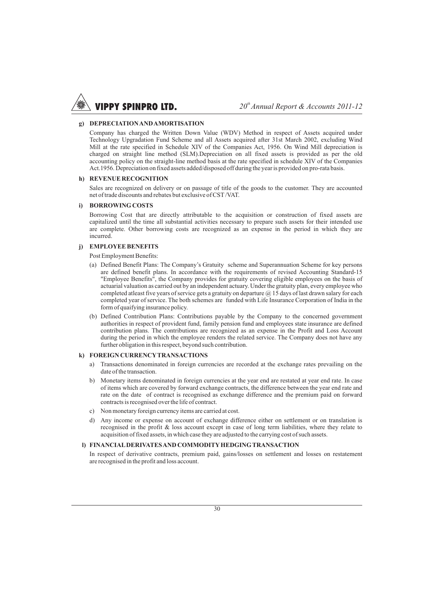

## **g) DEPRECIATION AND AMORTISATION**

Company has charged the Written Down Value (WDV) Method in respect of Assets acquired under Technology Upgradation Fund Scheme and all Assets acquired after 31st March 2002, excluding Wind Mill at the rate specified in Schedule XIV of the Companies Act, 1956. On Wind Mill depreciation is charged on straight line method (SLM).Depreciation on all fixed assets is provided as per the old accounting policy on the straight-line method basis at the rate specified in schedule XIV of the Companies Act.1956. Depreciation on fixed assets added/disposed off during the year is provided on pro-rata basis.

## **h) REVENUE RECOGNITION**

Sales are recognized on delivery or on passage of title of the goods to the customer. They are accounted net of trade discounts and rebates but exclusive of CST/VAT.

## **i) BORROWING COSTS**

Borrowing Cost that are directly attributable to the acquisition or construction of fixed assets are capitalized until the time all substantial activities necessary to prepare such assets for their intended use are complete. Other borrowing costs are recognized as an expense in the period in which they are incurred.

## **j) EMPLOYEE BENEFITS**

Post Employment Benefits:

- (a) Defined Benefit Plans: The Company's Gratuity scheme and Superannuation Scheme for key persons are defined benefit plans. In accordance with the requirements of revised Accounting Standard-15 "Employee Benefits", the Company provides for gratuity covering eligible employees on the basis of actuarial valuation as carried out by an independent actuary. Under the gratuity plan, every employee who completed atleast five years of service gets a gratuity on departure @ 15 days of last drawn salary for each completed year of service. The both schemes are funded with Life Insurance Corporation of India in the form of quaifying insurance policy.
- (b) Defined Contribution Plans: Contributions payable by the Company to the concerned government authorities in respect of provident fund, family pension fund and employees state insurance are defined contribution plans. The contributions are recognized as an expense in the Profit and Loss Account during the period in which the employee renders the related service. The Company does not have any further obligation in this respect, beyond such contribution.

#### **k) FOREIGN CURRENCYTRANSACTIONS**

- a) Transactions denominated in foreign currencies are recorded at the exchange rates prevailing on the date of the transaction.
- b) Monetary items denominated in foreign currencies at the year end are restated at year end rate. In case of items which are covered by forward exchange contracts, the difference between the year end rate and rate on the date of contract is recognised as exchange difference and the premium paid on forward contracts is recognised over the life of contract.
- c) Non monetary foreign currency items are carried at cost.
- d) Any income or expense on account of exchange difference either on settlement or on translation is recognised in the profit & loss account except in case of long term liabilities, where they relate to acquisition of fixed assets, in which case they are adjusted to the carrying cost of such assets.

## **l) FINANCIALDERIVATES AND COMMODITYHEDGING TRANSACTION**

In respect of derivative contracts, premium paid, gains/losses on settlement and losses on restatement are recognised in the profit and loss account.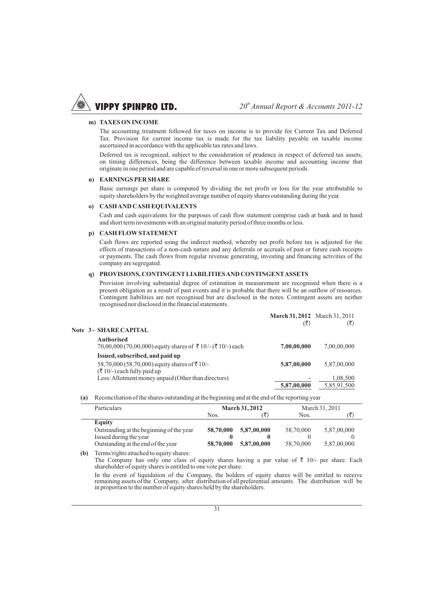

## **m) TAXES ON INCOME**

The accounting treatment followed for taxes on income is to provide for Current Tax and Deferred Tax. Provision for current income tax is made for the tax liability payable on taxable income ascertained in accordance with the applicable tax rates and laws.

Deferred tax is recognized, subject to the consideration of prudence in respect of deferred tax assets, on timing differences, being the difference between taxable income and accounting income that originate in one period and are capable of reversal in one or more subsequent periods.

### **n) EARNINGS PER SHARE**

Basic earnings per share is computed by dividing the net profit or loss for the year attributable to equity shareholders by the weighted average number of equity shares outstanding during the year.

#### **o) CASH AND CASH EQUIVALENTS**

Cash and cash equivalents for the purposes of cash flow statement comprise cash at bank and in hand and short term investments with an original maturity period of three months or less.

## **p) CASH FLOWSTATEMENT**

Cash flows are reported using the indirect method, whereby net profit before tax is adjusted for the effects of transactions of a non-cash nature and any deferrals or accruals of past or future cash receipts or payments. The cash flows from regular revenue generating, investing and financing activities of the company are segregated.

## **q) PROVISIONS, CONTINGENTLIABILITIES AND CONTINGENTASSETS**

Provision involving substantial degree of estimation in measurement are recognised when there is a present obligation as a result of past events and it is probable that there will be an outflow of resources. Contingent liabilities are not recognised but are disclosed in the notes. Contingent assets are neither recognised nor disclosed in the financial statements.

|                                                                                        | March 31, 2012 March 31, 2011 | (₹)         |
|----------------------------------------------------------------------------------------|-------------------------------|-------------|
| Note 3- SHARE CAPITAL                                                                  |                               |             |
| Authorised<br>70,00,000 (70,00,000) equity shares of ₹ 10/- (₹ 10/-) each              | 7,00,00,000                   | 7,00,00,000 |
| Issued, subscribed, and paid up                                                        |                               |             |
| 58,70,000 (58,70,000) equity shares of ₹10/-<br>$(\bar{\tau} 10/-)$ each fully paid up | 5,87,00,000                   | 5,87,00,000 |
| Less: Allotment money unpaid (Other than directors)                                    |                               | 1,08,500    |
|                                                                                        | 5,87,00,000                   | 5,85,91,500 |
|                                                                                        |                               |             |

 **(a)** Reconciliation of the shares outstanding at the beginning and at the end of the reporting year

| Particulars                              | <b>March 31, 2012</b> |             | March 31, 2011 |             |
|------------------------------------------|-----------------------|-------------|----------------|-------------|
|                                          | Nos.                  |             | Nos.           |             |
| <b>Equity</b>                            |                       |             |                |             |
| Outstanding at the beginning of the year | 58,70,000             | 5,87,00,000 | 58,70,000      | 5,87,00,000 |
| Issued during the year                   |                       |             |                |             |
| Outstanding at the end of the year       | 58,70,000             | 5,87,00,000 | 58,70,000      | 5,87,00,000 |

 **(b)** Terms/rights attached to equity shares:

The Company has only one class of equity shares having a par value of  $\bar{\tau}$  10/- per share. Each shareholder of equity shares is entitled to one vote per share.

In the event of liquidation of the Company, the holders of equity shares will be entitled to receive remaining assets of the Company, after distribution of all preferential amounts. The distribution will be in proportion to the number of equity shares held by the shareholders.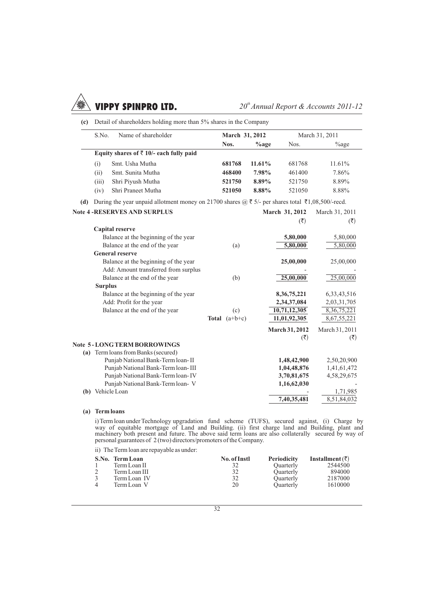

| (c) Detail of shareholders holding more than 5% shares in the Company |  |
|-----------------------------------------------------------------------|--|
|-----------------------------------------------------------------------|--|

|     | Name of shareholder<br>S.No. |                                                                                                  | March 31, 2012         |         |                             | March 31, 2011             |
|-----|------------------------------|--------------------------------------------------------------------------------------------------|------------------------|---------|-----------------------------|----------------------------|
|     |                              |                                                                                                  | Nos.                   | $%$ age | Nos.                        | $\%$ age                   |
|     |                              | Equity shares of $\bar{z}$ 10/- each fully paid                                                  |                        |         |                             |                            |
|     | (i)                          | Smt. Usha Mutha                                                                                  | 681768                 | 11.61%  | 681768                      | 11.61%                     |
|     | (ii)                         | Smt. Sunita Mutha                                                                                | 468400                 | 7.98%   | 461400                      | 7.86%                      |
|     | (iii)                        | Shri Piyush Mutha                                                                                | 521750                 | 8.89%   | 521750                      | 8.89%                      |
|     | (iv)                         | Shri Praneet Mutha                                                                               | 521050                 | 8.88%   | 521050                      | 8.88%                      |
| (d) |                              | During the year unpaid allotment money on 21700 shares @ ₹ 5/- per shares total ₹1,08,500/-recd. |                        |         |                             |                            |
|     |                              | <b>Note 4 -RESERVES AND SURPLUS</b>                                                              |                        |         | March 31, 2012              | March 31, 2011             |
|     |                              |                                                                                                  |                        |         | $(\overline{\zeta})$        | $(\overline{\mathbf{z}})$  |
|     |                              | Capital reserve                                                                                  |                        |         |                             |                            |
|     |                              | Balance at the beginning of the year                                                             |                        |         | 5,80,000                    | 5,80,000                   |
|     |                              | Balance at the end of the year                                                                   | (a)                    |         | 5,80,000                    | 5,80,000                   |
|     |                              | <b>General reserve</b>                                                                           |                        |         |                             |                            |
|     |                              | Balance at the beginning of the year                                                             |                        |         | 25,00,000                   | 25,00,000                  |
|     |                              | Add: Amount transferred from surplus                                                             |                        |         |                             |                            |
|     |                              | Balance at the end of the year                                                                   | (b)                    |         | 25,00,000                   | 25,00,000                  |
|     | <b>Surplus</b>               |                                                                                                  |                        |         |                             |                            |
|     |                              | Balance at the beginning of the year                                                             |                        |         | 8, 36, 75, 221              | 6, 33, 43, 516             |
|     |                              | Add: Profit for the year<br>Balance at the end of the year                                       |                        |         | 2,34,37,084<br>10,71,12,305 | 2,03,31,705<br>8,36,75,221 |
|     |                              |                                                                                                  | (c)<br>Total $(a+b+c)$ |         | 11,01,92,305                | 8,67,55,221                |
|     |                              |                                                                                                  |                        |         |                             |                            |
|     |                              |                                                                                                  |                        |         | March 31, 2012              | March 31, 2011             |
|     |                              | <b>Note 5-LONG TERM BORROWINGS</b>                                                               |                        |         | $(\overline{\mathbf{z}})$   | $(\overline{\zeta})$       |
|     |                              | (a) Term loans from Banks (secured)                                                              |                        |         |                             |                            |
|     |                              | Punjab National Bank-Term loan-II                                                                |                        |         | 1,48,42,900                 | 2,50,20,900                |
|     |                              | Punjab National Bank-Term loan-III                                                               |                        |         | 1,04,48,876                 | 1,41,61,472                |
|     |                              | Punjab National Bank-Term loan-IV                                                                |                        |         | 3,70,81,675                 | 4,58,29,675                |
|     |                              | Punjab National Bank-Term loan-V                                                                 |                        |         | 1,16,62,030                 |                            |
|     | (b) Vehicle Loan             |                                                                                                  |                        |         |                             | 1,71,985                   |
|     |                              |                                                                                                  |                        |         | 7,40,35,481                 | 8,51,84,032                |
|     |                              |                                                                                                  |                        |         |                             |                            |

# **(a) Term loans**

i) Term loan under Technology upgradation fund scheme (TUFS), secured against, (i) Charge by way of equitable mortgage of Land and Building. (ii) first charge land and Building, plant and machinery both present and future. The above said term loans are also collaterally secured by way of personal guarantees of 2 (two) directors/promoters of the Company.

ii) The Term loan are repayable as under:

| S.No. Term Loan | No. of Instl | <b>Periodicity</b> | Installment $(\bar{\zeta})$ |
|-----------------|--------------|--------------------|-----------------------------|
| Term Loan II    | 32           | Ouarterly          | 2544500                     |
| Term Loan III   | 32           | Ouarterly          | 894000                      |
| Term Loan IV    | 32           | Ouarterly          | 2187000                     |
| Term Loan V     | 20           | Ouarterly          | 1610000                     |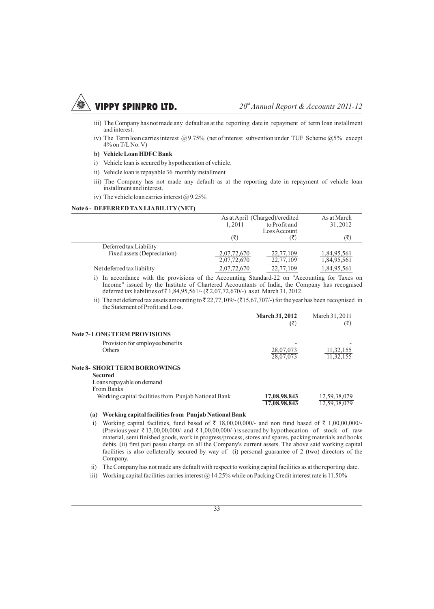

- iii) The Company has not made any default as at the reporting date in repayment of term loan installment and interest.
- iv) The Term loan carries interest @ 9.75% (net of interest subvention under TUF Scheme @5% except 4% on T/LNo. V)
- **b) Vehicle Loan HDFC Bank**
- i) Vehicle loan is secured by hypothecation of vehicle.
- ii) Vehicle loan is repayable 36 monthly installment
- iii) The Company has not made any default as at the reporting date in repayment of vehicle loan installment and interest.
- iv) The vehicle loan carries interest  $(a)$  9.25%

#### **Note 6 - DEFERRED TAX LIABILITY(NET)**

|                             | 1.2011      | As at April (Charged)/credited<br>to Profit and | As at March<br>31,2012 |  |
|-----------------------------|-------------|-------------------------------------------------|------------------------|--|
|                             |             | Loss Account                                    |                        |  |
|                             | (₹)         |                                                 |                        |  |
| Deferred tax Liability      |             |                                                 |                        |  |
| Fixed assets (Depreciation) | 2,07,72,670 | 22,77,109                                       | 1,84,95,561            |  |
|                             | 2,07,72,670 | 22,77,109                                       | 1,84,95,561            |  |
| Net deferred tax liability  | 2,07,72,670 | 22,77,109                                       | 1,84,95,561            |  |

i) In accordance with the provisions of the Accounting Standard-22 on "Accounting for Taxes on Income" issued by the Institute of Chartered Accountants of India, the Company has recognised deferred tax liabilities of  $\bar{\tau}$  1,84,95,561/-( $\bar{\tau}$  2,07,72,670/-) as at March 31, 2012.

ii) The net deferred tax assets amounting to  $\bar{\tau}$  22,77,109/- ( $\bar{\tau}$ 15,67,707/-) for the year has been recognised in the Statement of Profit and Loss.

|                                                                                                   | <b>March 31, 2012</b><br>(₹)        | March 31, 2011<br>(₹)        |
|---------------------------------------------------------------------------------------------------|-------------------------------------|------------------------------|
| <b>Note 7- LONG TERM PROVISIONS</b>                                                               |                                     |                              |
| Provision for employee benefits<br><b>Others</b>                                                  | 28,07,073<br>$\overline{28,07,073}$ | 11,32,155<br>11,32,155       |
| <b>Note 8- SHORT TERM BORROWINGS</b><br><b>Secured</b><br>Loans repayable on demand<br>From Banks |                                     |                              |
| Working capital facilities from Punjab National Bank                                              | 17,08,98,843<br>17,08,98,843        | 12,59,38,079<br>12,59,38,079 |

## **(a) Working capital facilities from Punjab National Bank**

- i) Working capital facilities, fund based of  $\bar{\tau}$  18,00,00,000/- and non fund based of  $\bar{\tau}$  1,00,00,000/-(Previous year  $\bar{\tau}$  13,00,00,000/- and  $\bar{\tau}$  1,00,00,000/-) is secured by hypothecation of stock of raw material, semi finished goods, work in progress/process, stores and spares, packing materials and books debts. (ii) first pari passu charge on all the Company's current assets. The above said working capital facilities is also collaterally secured by way of (i) personal guarantee of 2 (two) directors of the Company.
- ii) The Company has not made any default with respect to working capital facilities as at the reporting date.
- iii) Working capital facilities carries interest @ 14.25% while on Packing Credit interest rate is 11.50%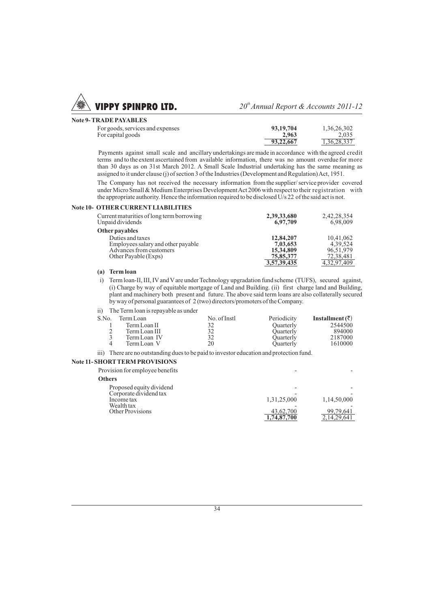

## **Note 9- TRADE PAYABLES**

| For goods, services and expenses | 93, 19, 704 | 1,36,26,302 |
|----------------------------------|-------------|-------------|
| For capital goods                | 2.963       | 2.035       |
|                                  | 93,22,667   | 1.36.28.337 |

Payments against small scale and ancillary undertakings are made in accordance with the agreed credit terms and to the extent ascertained from available information, there was no amount overdue for more than 30 days as on 31st March 2012. A Small Scale Industrial undertaking has the same meaning as assigned to it under clause (j) of section 3 of the Industries (Development and Regulation) Act, 1951.

The Company has not received the necessary information from the supplier/ service provider covered under Micro Small & Medium Enterprises Development Act 2006 with respect to their registration with the appropriate authority. Hence the information required to be disclosed U/s 22 of the said act is not.

### **Note 10- OTHER CURRENTLIABILITIES**

| Current maturities of long term borrowing<br>Unpaid dividends | 2,39,33,680<br>6,97,709 | 2,42,28,354<br>6,98,009 |
|---------------------------------------------------------------|-------------------------|-------------------------|
| Other payables                                                |                         |                         |
| Duties and taxes                                              | 12,84,207               | 10,41,062               |
| Employees salary and other payable                            | 7,03,653                | 4.39.524                |
| Advances from customers                                       | 15,34,809               | 96.51.979               |
| Other Payable (Exps)                                          | 75,85,377               | 72,38,481               |
|                                                               | 3,57,39,435             | 4, 32, 97, 409          |

## **(a) Term loan**

i) Term loan-II, III, IV and V are under Technology upgradation fund scheme (TUFS), secured against, (i) Charge by way of equitable mortgage of Land and Building. (ii) first charge land and Building, plant and machinery both present and future. The above said term loans are also collaterally secured by way of personal guarantees of 2 (two) directors/promoters of the Company.

ii) The Term loan is repayable as under

| S.No. | Term Loan     | No. of Instl | Periodicity | Installment $(\bar{\zeta})$ |
|-------|---------------|--------------|-------------|-----------------------------|
|       | Term Loan II  |              | Ouarterly   | 2544500                     |
|       | Term Loan III | 32           | Ouarterlv   | 894000                      |
|       | Term Loan IV  | 32           | Ouarterlv   | 2187000                     |
|       | Term Loan V   | 20           | Ouarterlv   | 1610000                     |

iii) There are no outstanding dues to be paid to investor education and protection fund.

## **Note 11- SHORTTERM PROVISIONS**

| Provision for employee benefits                                                                           |                                         |                                            |
|-----------------------------------------------------------------------------------------------------------|-----------------------------------------|--------------------------------------------|
| <b>Others</b>                                                                                             |                                         |                                            |
| Proposed equity dividend<br>Corporate dividend tax<br>Income tax<br>Wealth tax<br><b>Other Provisions</b> | 1,31,25,000<br>43,62,700<br>1,74,87,700 | 1,14,50,000<br>99,79,641<br>2, 14, 29, 641 |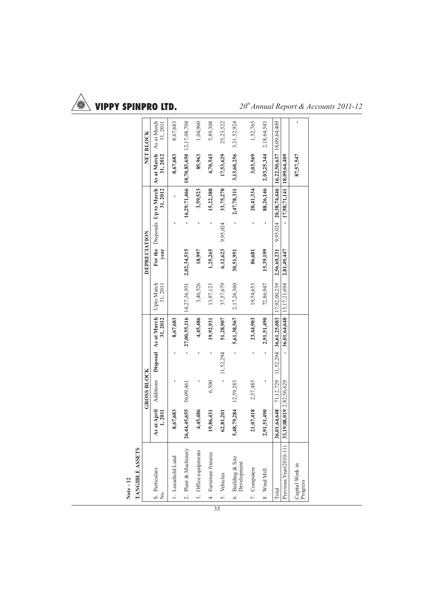

(S

| TANGIBLE ASSETS                           |                              | <b>GROSS BLOCK</b> |           |                                  |                        | <b>DEPRECIATION</b> |          |                                          |                                           | NET BLOCK               |
|-------------------------------------------|------------------------------|--------------------|-----------|----------------------------------|------------------------|---------------------|----------|------------------------------------------|-------------------------------------------|-------------------------|
| S. Particulars<br>ż.                      | As at April<br>1,2011        | Additions          |           | Disposal As at March<br>31, 2012 | Upto March<br>31, 2011 | year                |          | For the Disposals Up to March<br>31,2012 | As at March<br>31, 2012                   | As at March<br>31, 2011 |
| 1. Leasehold Land                         | 8,67,683                     | ı                  | ı         | 8,67,683                         |                        |                     | I,       | ı                                        | 8,67,683                                  | 8,67,683                |
| 2. Plant & Machinery                      | ,44,45,655<br>$\frac{26}{5}$ | 56,09,461          | í.        | 27,00,55,116 14,27,36,951        |                        | 2,02,34,515         |          |                                          | $-16,29,71,466$ 10,70,83,650 12,17,08,704 |                         |
| 3. Office equipments                      | 4,45,486                     |                    |           | 4,45,486                         | 3,40,526               | 18,997              | ï        | 3,59,523                                 | 85,963                                    | 1,04,960                |
| Furniture fixtures<br>$\ddot{4}$          | 19,86,431                    | 6,500              |           | 19,92,931                        | 13,97,123              | 1,25,265            |          | 15,22,388                                | 4,70,543                                  | 5,89,308                |
| Vehicles                                  | 62,81,201                    |                    | 11,52,294 | 51,28,907                        | 37,57,679              | 6,12,623            | 9,95,024 | 33,75,278                                | 17,53,629                                 | 25,23,522               |
| Building & Site<br>Development<br>$\circ$ | ,48,79,284<br>Ю              | 12,59,283          |           | 5,61,38,567                      | 2,17,26,360            | 30,51,951           | ı        | 2,47,78,311                              | 3,13,60,256                               | 3,31,52,924             |
| 7. Computers                              | 21,07,418                    | 2,37,485           | ı         | 23,44,903                        | 19,54,653              | 86,681              | ı        | 20,41,334                                | 3,03,569                                  | 1,52,765                |
| Wind Mill<br>$\infty$                     | ,91,51,490                   | ı                  | ı         | 2,91,51,490                      | 72,86,947              | 15,39,199           | ı        | 88,26,146                                | 2,03,25,344                               | 2,18,64,543             |
| Total                                     | 36,01,64,648                 | 71,12,729          | 11,52,294 | 36,61,25,083                     | 17.92.00.239           | 2,56,69,231         | 9,95,024 |                                          | 20,38,74,446 16,22,50,637 18,09,64,409    |                         |
| Previous Year(2010-11)                    | 33,19,08,019 2,82,56,629     |                    |           | 36,01,64,648                     | 15,17,21,694           | 2,81,49,447         |          | 17,98,71,141   18,09,64,409              |                                           |                         |
| Capital Work in<br>Progress               |                              |                    |           |                                  |                        |                     |          |                                          | 87,57,547                                 |                         |
|                                           |                              |                    |           |                                  |                        |                     |          |                                          |                                           |                         |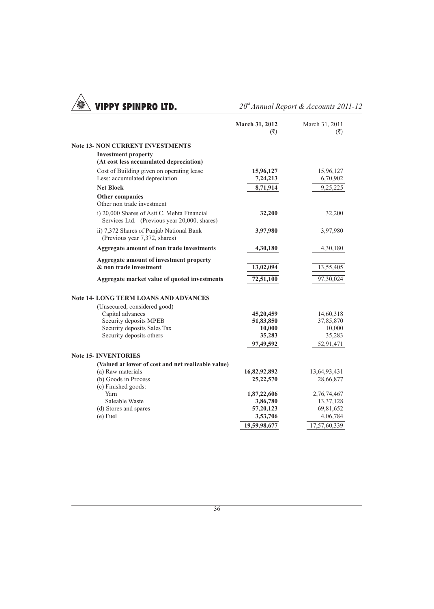|  | $\hat{\mathscr{B}}$ vippy spinpro LTD. |  |
|--|----------------------------------------|--|

|                                                                                             | March 31, 2012<br>$(\overline{\zeta})$ | March 31, 2011<br>$(\overline{\zeta})$ |
|---------------------------------------------------------------------------------------------|----------------------------------------|----------------------------------------|
| <b>Note 13- NON CURRENT INVESTMENTS</b>                                                     |                                        |                                        |
| <b>Investment property</b><br>(At cost less accumulated depreciation)                       |                                        |                                        |
| Cost of Building given on operating lease<br>Less: accumulated depreciation                 | 15,96,127<br>7,24,213                  | 15,96,127<br>6,70,902                  |
| <b>Net Block</b>                                                                            | 8,71,914                               | 9,25,225                               |
| Other companies<br>Other non trade investment                                               |                                        |                                        |
| i) 20,000 Shares of Asit C. Mehta Financial<br>Services Ltd. (Previous year 20,000, shares) | 32,200                                 | 32,200                                 |
| ii) 7,372 Shares of Punjab National Bank<br>(Previous year 7,372, shares)                   | 3,97,980                               | 3,97,980                               |
| Aggregate amount of non trade investments                                                   | 4,30,180                               | 4,30,180                               |
| Aggregate amount of investment property<br>& non trade investment                           | 13,02,094                              | 13,55,405                              |
| Aggregate market value of quoted investments                                                | 72,51,100                              | 97,30,024                              |
| <b>Note 14- LONG TERM LOANS AND ADVANCES</b>                                                |                                        |                                        |
| (Unsecured, considered good)                                                                |                                        |                                        |
| Capital advances                                                                            | 45,20,459                              | 14,60,318                              |
| Security deposits MPEB                                                                      | 51,83,850                              | 37,85,870                              |
| Security deposits Sales Tax<br>Security deposits others                                     | 10,000<br>35,283                       | 10,000<br>35,283                       |
|                                                                                             | 97,49,592                              | 52,91,471                              |
|                                                                                             |                                        |                                        |
| <b>Note 15- INVENTORIES</b>                                                                 |                                        |                                        |
| (Valued at lower of cost and net realizable value)                                          |                                        |                                        |
| (a) Raw materials                                                                           | 16,82,92,892                           | 13,64,93,431                           |
| (b) Goods in Process<br>(c) Finished goods:                                                 | 25,22,570                              | 28,66,877                              |
| Yarn                                                                                        | 1,87,22,606                            | 2,76,74,467                            |
| Saleable Waste                                                                              | 3,86,780                               | 13,37,128                              |
| (d) Stores and spares                                                                       | 57,20,123                              | 69,81,652                              |
| $(e)$ Fuel                                                                                  | 3,53,706                               | 4,06,784                               |
|                                                                                             | 19,59,98,677                           | 17,57,60,339                           |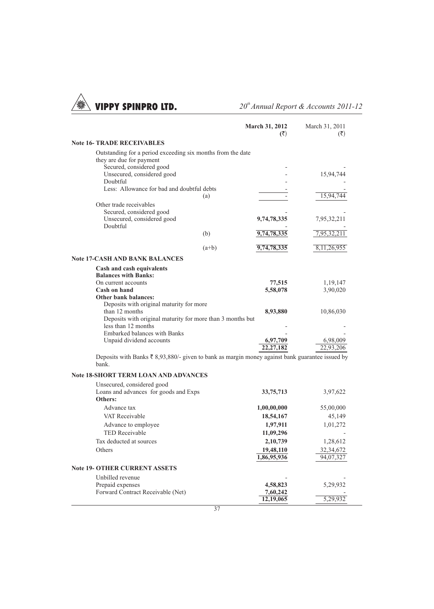

|                                                                                                                    |         | <b>March 31, 2012</b><br>(3) | March 31, 2011<br>(₹)  |
|--------------------------------------------------------------------------------------------------------------------|---------|------------------------------|------------------------|
| <b>Note 16- TRADE RECEIVABLES</b>                                                                                  |         |                              |                        |
| Outstanding for a period exceeding six months from the date<br>they are due for payment                            |         |                              |                        |
| Secured, considered good<br>Unsecured, considered good<br>Doubtful                                                 |         |                              | 15,94,744              |
| Less: Allowance for bad and doubtful debts                                                                         | (a)     |                              | 15,94,744              |
| Other trade receivables<br>Secured, considered good<br>Unsecured, considered good                                  |         | 9,74,78,335                  | 7,95,32,211            |
| Doubtful                                                                                                           |         |                              |                        |
|                                                                                                                    | (b)     | 9,74,78,335                  | 7,95,32,211            |
|                                                                                                                    | $(a+b)$ | 9,74,78,335                  | 8,11,26,955            |
| <b>Note 17-CASH AND BANK BALANCES</b>                                                                              |         |                              |                        |
| Cash and cash equivalents                                                                                          |         |                              |                        |
| <b>Balances with Banks:</b><br>On current accounts                                                                 |         | 77,515                       | 1, 19, 147             |
| Cash on hand                                                                                                       |         | 5,58,078                     | 3,90,020               |
| <b>Other bank balances:</b>                                                                                        |         |                              |                        |
| Deposits with original maturity for more                                                                           |         |                              |                        |
| than 12 months<br>Deposits with original maturity for more than 3 months but                                       |         | 8,93,880                     | 10,86,030              |
| less than 12 months                                                                                                |         |                              |                        |
| <b>Embarked balances with Banks</b>                                                                                |         |                              |                        |
| Unpaid dividend accounts                                                                                           |         | 6,97,709<br>22, 27, 182      | 6,98,009<br>22,93,206  |
| Deposits with Banks $\bar{\xi}$ 8,93,880/- given to bank as margin money against bank guarantee issued by<br>bank. |         |                              |                        |
| <b>Note 18-SHORT TERM LOAN AND ADVANCES</b>                                                                        |         |                              |                        |
| Unsecured, considered good                                                                                         |         |                              |                        |
| Loans and advances for goods and Exps<br>Others:                                                                   |         | 33, 75, 713                  | 3,97,622               |
| Advance tax                                                                                                        |         | 1,00,00,000                  | 55,00,000              |
| VAT Receivable                                                                                                     |         | 18,54,167                    | 45,149                 |
| Advance to employee                                                                                                |         | 1,97,911                     | 1,01,272               |
| <b>TED Receivable</b>                                                                                              |         | 11,09,296                    |                        |
| Tax deducted at sources                                                                                            |         | 2,10,739                     | 1,28,612               |
| Others                                                                                                             |         | 19,48,110<br>1,86,95,936     | 32,34,672<br>94,07,327 |
| <b>Note 19- OTHER CURRENT ASSETS</b>                                                                               |         |                              |                        |
| Unbilled revenue                                                                                                   |         |                              |                        |
| Prepaid expenses                                                                                                   |         | 4,58,823                     | 5,29,932               |
| Forward Contract Receivable (Net)                                                                                  |         | 7,60,242                     |                        |
|                                                                                                                    |         | 12,19,065                    | 5,29,932               |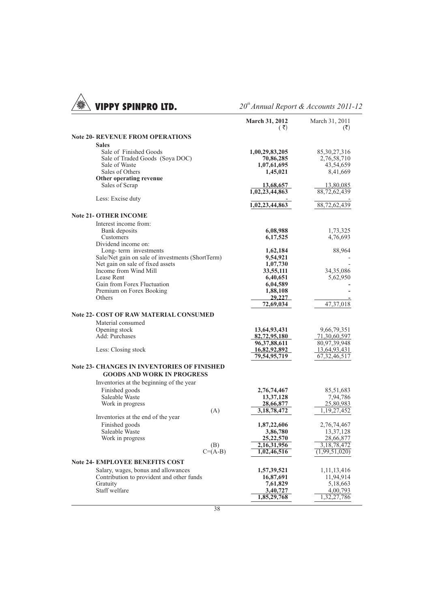| $\sqrt{\frac{m}{m}}$ vippy spinpro LTD. |  |
|-----------------------------------------|--|
|-----------------------------------------|--|

|                                                    | <b>March 31, 2012</b>       | March 31, 2011              |
|----------------------------------------------------|-----------------------------|-----------------------------|
|                                                    | $(\bar{z})$                 | ( ₹)                        |
| <b>Note 20- REVENUE FROM OPERATIONS</b>            |                             |                             |
| <b>Sales</b>                                       |                             |                             |
| Sale of Finished Goods                             | 1,00,29,83,205              | 85, 30, 27, 316             |
| Sale of Traded Goods (Soya DOC)<br>Sale of Waste   | 70,86,285                   | 2,76,58,710<br>43,54,659    |
| Sales of Others                                    | 1,07,61,695<br>1,45,021     | 8,41,669                    |
| Other operating revenue                            |                             |                             |
| Sales of Scrap                                     | <u>13,68,657</u>            | 13,80,085                   |
|                                                    | 1,02,23,44,863              | 88,72,62,439                |
| Less: Excise duty                                  |                             |                             |
|                                                    | 1,02,23,44,863              | 88,72,62,439                |
| <b>Note 21- OTHER INCOME</b>                       |                             |                             |
| Interest income from:                              |                             |                             |
| Bank deposits                                      | 6,08,988                    | 1,73,325                    |
| Customers                                          | 6,17,525                    | 4,76,693                    |
| Dividend income on:                                |                             |                             |
| Long-term investments                              | 1,62,184                    | 88,964                      |
| Sale/Net gain on sale of investments (ShortTerm)   | 9,54,921                    |                             |
| Net gain on sale of fixed assets                   | 1,07,730                    |                             |
| Income from Wind Mill<br>Lease Rent                | 33,55,111                   | 34, 35, 086                 |
| Gain from Forex Fluctuation                        | 6,40,651<br>6,04,589        | 5,62,950                    |
| Premium on Forex Booking                           | 1,88,108                    |                             |
| Others                                             | 29,227                      |                             |
|                                                    | 72,69,034                   | 47,37,018                   |
| <b>Note 22- COST OF RAW MATERIAL CONSUMED</b>      |                             |                             |
| Material consumed                                  |                             |                             |
| Opening stock                                      | 13,64,93,431                | 9,66,79,351                 |
| <b>Add: Purchases</b>                              | 82,72,95,180                | 71,30,60,597                |
|                                                    | 96,37,88,611                | 80,97,39,948                |
| Less: Closing stock                                | 16,82,92,892                | 13,64,93,431                |
|                                                    | 79,54,95,719                | 67, 32, 46, 517             |
| <b>Note 23- CHANGES IN INVENTORIES OF FINISHED</b> |                             |                             |
| <b>GOODS AND WORK IN PROGRESS</b>                  |                             |                             |
| Inventories at the beginning of the year           |                             |                             |
| Finished goods                                     | 2,76,74,467                 | 85,51,683                   |
| Saleable Waste                                     | 13,37,128                   | 7,94,786                    |
| Work in progress                                   | 28,66,877                   | 25,80,983                   |
| (A)                                                | 3, 18, 78, 472              | 1,19,27,452                 |
| Inventories at the end of the year                 |                             |                             |
| Finished goods                                     | 1,87,22,606                 | 2,76,74,467                 |
| Saleable Waste                                     | 3,86,780                    | 13, 37, 128                 |
| Work in progress<br>(B)                            | 25,22,570<br>2, 16, 31, 956 | 28,66,877<br>3, 18, 78, 472 |
| $C=(A-B)$                                          | 1,02,46,516                 | (1,99,51,020)               |
| <b>Note 24- EMPLOYEE BENEFITS COST</b>             |                             |                             |
| Salary, wages, bonus and allowances                | 1,57,39,521                 | 1, 11, 13, 416              |
| Contribution to provident and other funds          | 16,87,691                   | 11,94,914                   |
| Gratuity                                           | 7,61,829                    | 5,18,663                    |
| Staff welfare                                      | 3,40,727                    | 4,00,793                    |
|                                                    | 1,85,29,768                 | 1,32,27,786                 |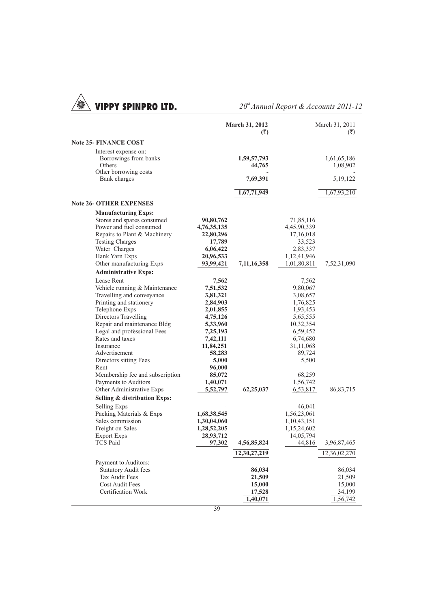

|                                                                                                                                                                                                                                                                                                                                                                                                                        |                                                                                                                                                                                     | <b>March 31, 2012</b><br>(3)                     |                                                                                                                                                                          | March 31, 2011<br>(3)                            |
|------------------------------------------------------------------------------------------------------------------------------------------------------------------------------------------------------------------------------------------------------------------------------------------------------------------------------------------------------------------------------------------------------------------------|-------------------------------------------------------------------------------------------------------------------------------------------------------------------------------------|--------------------------------------------------|--------------------------------------------------------------------------------------------------------------------------------------------------------------------------|--------------------------------------------------|
| <b>Note 25- FINANCE COST</b>                                                                                                                                                                                                                                                                                                                                                                                           |                                                                                                                                                                                     |                                                  |                                                                                                                                                                          |                                                  |
| Interest expense on:<br>Borrowings from banks<br>Others                                                                                                                                                                                                                                                                                                                                                                |                                                                                                                                                                                     | 1,59,57,793<br>44,765                            |                                                                                                                                                                          | 1,61,65,186<br>1,08,902                          |
| Other borrowing costs<br>Bank charges                                                                                                                                                                                                                                                                                                                                                                                  |                                                                                                                                                                                     | 7,69,391                                         |                                                                                                                                                                          | 5, 19, 122                                       |
|                                                                                                                                                                                                                                                                                                                                                                                                                        |                                                                                                                                                                                     | 1,67,71,949                                      |                                                                                                                                                                          | 1,67,93,210                                      |
| <b>Note 26- OTHER EXPENSES</b>                                                                                                                                                                                                                                                                                                                                                                                         |                                                                                                                                                                                     |                                                  |                                                                                                                                                                          |                                                  |
| <b>Manufacturing Exps:</b>                                                                                                                                                                                                                                                                                                                                                                                             |                                                                                                                                                                                     |                                                  |                                                                                                                                                                          |                                                  |
| Stores and spares consumed<br>Power and fuel consumed<br>Repairs to Plant & Machinery<br><b>Testing Charges</b><br>Water Charges<br>Hank Yarn Exps<br>Other manufacturing Exps                                                                                                                                                                                                                                         | 90,80,762<br>4,76,35,135<br>22,80,296<br>17,789<br>6,06,422<br>20,96,533<br>93,99,421                                                                                               | 7, 11, 16, 358                                   | 71,85,116<br>4,45,90,339<br>17,16,018<br>33,523<br>2,83,337<br>1, 12, 41, 946<br>1,01,80,811                                                                             | 7,52,31,090                                      |
| <b>Administrative Exps:</b>                                                                                                                                                                                                                                                                                                                                                                                            |                                                                                                                                                                                     |                                                  |                                                                                                                                                                          |                                                  |
| Lease Rent<br>Vehicle running & Maintenance<br>Travelling and conveyance<br>Printing and stationery<br>Telephone Exps<br>Directors Travelling<br>Repair and maintenance Bldg<br>Legal and professional Fees<br>Rates and taxes<br>Insurance<br>Advertisement<br>Directors sitting Fees<br>Rent<br>Membership fee and subscription<br>Payments to Auditors<br>Other Administrative Exps<br>Selling & distribution Exps: | 7,562<br>7,51,532<br>3,81,321<br>2,84,903<br>2,01,855<br>4,75,126<br>5,33,960<br>7,25,193<br>7,42,111<br>11,84,251<br>58,283<br>5,000<br>96,000<br>85,072<br>1,40,071<br>5, 52, 797 | 62,25,037                                        | 7,562<br>9,80,067<br>3,08,657<br>1,76,825<br>1,93,453<br>5,65,555<br>10,32,354<br>6,59,452<br>6,74,680<br>31,11,068<br>89,724<br>5,500<br>68,259<br>1,56,742<br>6,53,817 | 86, 83, 715                                      |
| Selling Exps<br>Packing Materials & Exps<br>Sales commission<br>Freight on Sales<br><b>Export Exps</b><br><b>TCS</b> Paid                                                                                                                                                                                                                                                                                              | 1,68,38,545<br>1,30,04,060<br>1,28,52,205<br>28,93,712<br>97,302                                                                                                                    | 4,56,85,824                                      | 46,041<br>1,56,23,061<br>1,10,43,151<br>1,15,24,602<br>14,05,794<br>44,816                                                                                               | 3,96,87,465                                      |
|                                                                                                                                                                                                                                                                                                                                                                                                                        |                                                                                                                                                                                     | 12,30,27,219                                     |                                                                                                                                                                          | 12,36,02,270                                     |
| Payment to Auditors:<br><b>Statutory Audit fees</b><br><b>Tax Audit Fees</b><br>Cost Audit Fees<br>Certification Work                                                                                                                                                                                                                                                                                                  |                                                                                                                                                                                     | 86,034<br>21,509<br>15,000<br>17,528<br>1,40,071 |                                                                                                                                                                          | 86,034<br>21,509<br>15,000<br>34,199<br>1,56,742 |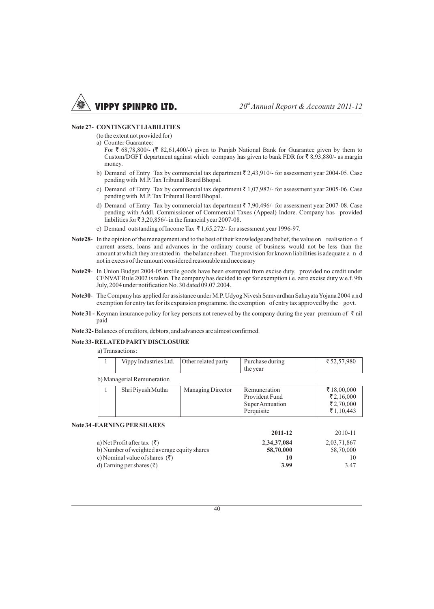

## **Note 27- CONTINGENTLIABILITIES**

- (to the extent not provided for)
- a) Counter Guarantee: For  $\bar{\tau}$  68,78,800/- ( $\bar{\tau}$  82,61,400/-) given to Punjab National Bank for Guarantee given by them to Custom/DGFT department against which company has given to bank FDR for  $\bar{\tau}$  8,93,880/- as margin money.
- b) Demand of Entry Tax by commercial tax department  $\bar{\tau}$  2,43,910/- for assessment year 2004-05. Case pending with M.P. Tax Tribunal Board Bhopal.
- c) Demand of Entry Tax by commercial tax department  $\bar{\tau}$  1,07,982/- for assessment year 2005-06. Case pending with M.P. Tax Tribunal Board Bhopal .
- d) Demand of Entry Tax by commercial tax department  $\bar{\tau}$  7,90,496/- for assessment year 2007-08. Case pending with Addl. Commissioner of Commercial Taxes (Appeal) Indore. Company has provided liabilities for  $\bar{\tau}$  3,20,856/- in the financial year 2007-08.
- e) Demand outstanding of Income Tax  $\bar{\tau}$  1,65,272/- for assessment year 1996-97.
- **Note28-** In the opinion of the management and to the best of their knowledge and belief, the value on realisation o f current assets, loans and advances in the ordinary course of business would not be less than the amount at which they are stated in the balance sheet. The provision for known liabilities is adequate a n d not in excess of the amount considered reasonable and necessary
- **Note29** In Union Budget 2004-05 textile goods have been exempted from excise duty, provided no credit under CENVATRule 2002 is taken. The company has decided to opt for exemption i.e. zero excise duty w.e.f. 9th July, 2004 under notification No. 30 dated 09.07.2004.
- **Note30** The Company has applied for assistance under M.P. Udyog Nivesh Samvardhan Sahayata Yojana 2004 and exemption for entry tax for its expansion programme. the exemption of entry tax approved by the govt.
- **Note 31 -** Keyman insurance policy for key persons not renewed by the company during the year premium of  $\bar{\tau}$  nil paid
- **Note 32** Balances of creditors, debtors, and advances are almost confirmed.

## **Note 33- RELATED PARTYDISCLOSURE**

a) Transactions:

| Vippy Industries Ltd.      | Other related party | Purchase during<br>the year                                     | ₹52,57,980                                                  |
|----------------------------|---------------------|-----------------------------------------------------------------|-------------------------------------------------------------|
| b) Managerial Remuneration |                     |                                                                 |                                                             |
| Shri Piyush Mutha          | Managing Director   | Remuneration<br>Provident Fund<br>Super Annuation<br>Perquisite | ₹18,00,000<br>₹2,16,000<br>₹2,70,000<br>$\bar{5}1, 10, 443$ |

#### **Note 34 -EARNING PER SHARES**

|                                             | 2011-12     | 2010-11     |
|---------------------------------------------|-------------|-------------|
| a) Net Profit after tax $(\bar{\zeta})$     | 2,34,37,084 | 2,03,71,867 |
| b) Number of weighted average equity shares | 58,70,000   | 58,70,000   |
| c) Nominal value of shares $(\bar{\zeta})$  |             |             |
| d) Earning per shares $(\bar{\zeta})$       | 3.99        | 3.47        |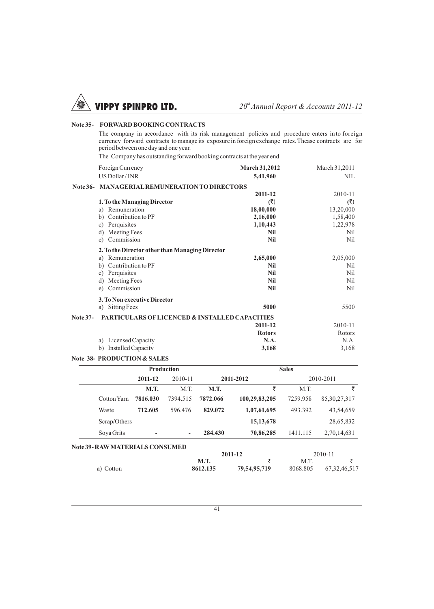

## **Note 35- FORWARD BOOKING CONTRACTS**

The company in accordance with its risk management policies and procedure enters in to foreign currency forward contracts to manage its exposure in foreign exchange rates. Thease contracts are for period between one day and one year.

The Company has outstanding forward booking contracts at the year end

|                 | Foreign Currency                                | <b>March 31,2012</b>      | March 31,2011 |
|-----------------|-------------------------------------------------|---------------------------|---------------|
|                 | US Dollar / INR                                 | 5,41,960                  | NIL           |
| <b>Note 36-</b> | <b>MANAGERIAL REMUNERATION TO DIRECTORS</b>     |                           |               |
|                 |                                                 | 2011-12                   | 2010-11       |
|                 | 1. To the Managing Director                     | $(\overline{\mathbf{z}})$ | (5)           |
|                 | a) Remuneration                                 | 18,00,000                 | 13,20,000     |
|                 | b) Contribution to PF                           | 2,16,000                  | 1,58,400      |
|                 | c) Perquisites                                  | 1,10,443                  | 1,22,978      |
|                 | d) Meeting Fees                                 | <b>Nil</b>                | Nil           |
|                 | Commission<br>e)                                | Nil                       | Nil           |
|                 | 2. To the Director other than Managing Director |                           |               |
|                 | a) Remuneration                                 | 2,65,000                  | 2,05,000      |
|                 | b) Contribution to PF                           | Nil                       | Nil           |
|                 | c) Perquisites                                  | <b>Nil</b>                | Nil           |
|                 | Meeting Fees<br>d)                              | <b>Nil</b>                | Nil           |
|                 | Commission<br>e)                                | Nil                       | Nil           |
|                 | 3. To Non executive Director                    |                           |               |
|                 | a) Sitting Fees                                 | 5000                      | 5500          |
| <b>Note 37-</b> | PARTICULARS OF LICENCED & INSTALLED CAPACITIES  |                           |               |
|                 |                                                 | 2011-12                   | 2010-11       |
|                 |                                                 | <b>Rotors</b>             | Rotors        |
|                 | Licensed Capacity<br>a)                         | N.A.                      | N.A.          |
|                 | Installed Capacity<br>b)                        | 3,168                     | 3,168         |

## **Note 38- PRODUCTION & SALES**

|              |                          | <b>Production</b>        | <b>Sales</b>             |               |                          |                 |
|--------------|--------------------------|--------------------------|--------------------------|---------------|--------------------------|-----------------|
|              | 2011-12                  | 2010-11                  |                          | 2011-2012     |                          | 2010-2011       |
|              | <b>M.T.</b>              | M.T.                     | <b>M.T.</b>              | ₹             | M.T.                     | ₹               |
| Cotton Yarn  | 7816.030                 | 7394.515                 | 7872.066                 | 100,29,83,205 | 7259.958                 | 85, 30, 27, 317 |
| Waste        | 712.605                  | 596.476                  | 829.072                  | 1,07,61,695   | 493.392                  | 43,54,659       |
| Scrap/Others | $\overline{\phantom{a}}$ |                          | $\overline{\phantom{a}}$ | 15, 13, 678   | $\overline{\phantom{a}}$ | 28,65,832       |
| Soya Grits   | -                        | $\overline{\phantom{a}}$ | 284.430                  | 70,86,285     | 1411.115                 | 2,70,14,631     |

| www.community.com/www.com/www.com/www.com/www.com/www.com/www.com/www.com/ |             | 2011-12      |          | 2010-11      |
|----------------------------------------------------------------------------|-------------|--------------|----------|--------------|
|                                                                            | <b>M.T.</b> |              | M.T.     |              |
| a) Cotton                                                                  | 8612.135    | 79,54,95,719 | 8068.805 | 67.32.46.517 |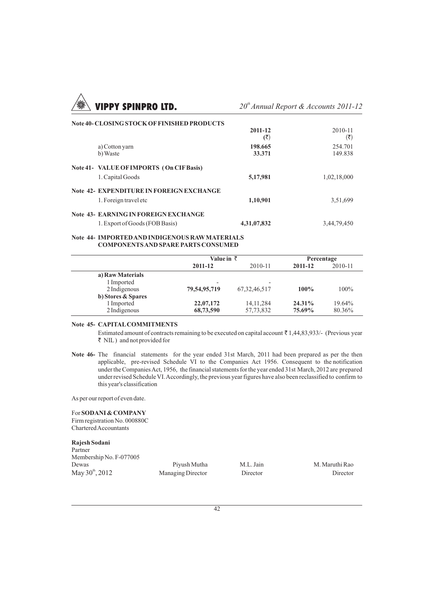

| <b>Note 40- CLOSING STOCK OF FINISHED PRODUCTS</b>                            |                                      |                    |
|-------------------------------------------------------------------------------|--------------------------------------|--------------------|
|                                                                               | 2011-12<br>$(\overline{\mathbf{x}})$ | $2010 - 11$<br>(₹) |
| a) Cotton yarn                                                                | 198.665                              | 254.701            |
| b) Waste                                                                      | 33,371                               | 149.838            |
| <b>Note 41- VALUE OF IMPORTS (On CIF Basis)</b><br>1. Capital Goods           | 5,17,981                             | 1,02,18,000        |
| <b>Note 42- EXPENDITURE IN FOREIGN EXCHANGE</b><br>1. Foreign travel etc.     | 1,10,901                             | 3,51,699           |
| <b>Note 43- EARNING IN FOREIGN EXCHANGE</b><br>1. Export of Goods (FOB Basis) | 4,31,07,832                          | 3,44,79,450        |

## **Note 44- IMPORTED AND INDIGENOUS RAWMATERIALS COMPONENTS AND SPARE PARTS CONSUMED**

|                    | Value in ₹               |                          | Percentage |         |
|--------------------|--------------------------|--------------------------|------------|---------|
|                    | 2011-12                  | 2010-11                  | 2011-12    | 2010-11 |
| a) Raw Materials   |                          |                          |            |         |
| 1 Imported         | $\overline{\phantom{0}}$ | $\overline{\phantom{0}}$ |            |         |
| 2 Indigenous       | 79, 54, 95, 719          | 67, 32, 46, 517          | $100\%$    | $100\%$ |
| b) Stores & Spares |                          |                          |            |         |
| 1 Imported         | 22,07,172                | 14, 11, 284              | 24.31%     | 19.64%  |
| 2 Indigenous       | 68,73,590                | 57,73,832                | 75.69%     | 80.36%  |

## **Note 45- CAPITALCOMMITMENTS**

Estimated amount of contracts remaining to be executed on capital account  $\bar{\tau}$  1,44,83,933/- (Previous year ₹ NIL) and not provided for

**Note 46-** The financial statements for the year ended 31st March, 2011 had been prepared as per the then applicable, pre-revised Schedule VI to the Companies Act 1956. Consequent to the notification under the Companies Act, 1956, the financial statements for the year ended 31st March, 2012 are prepared under revised Schedule VI. Accordingly, the previous year figures have also been reclassified to confirm to this year's classification

As per our report of even date.

## For **SODANI & COMPANY**

Firm registration No. 000880C Chartered Accountants

**Rajesh Sodani** Partner Membership No. F-077005 Dewas Piyush Mutha M.L. Jain M. Maruthi Rao May 30<sup>th</sup>, 2012 Managing Director Director Director Director

Managing Director Director Director Director Director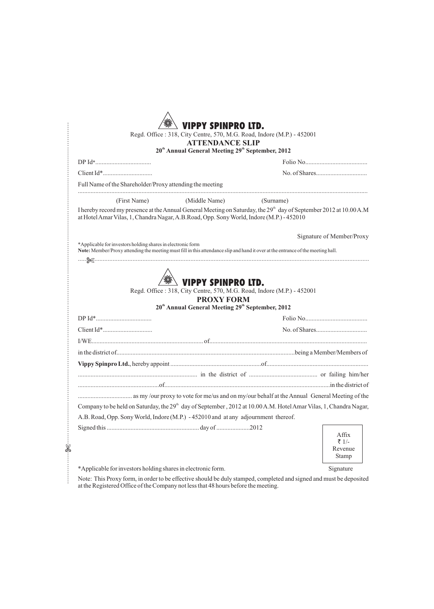|                                                                                                                                                                                                 | <b>ATTENDANCE SLIP</b><br>20 <sup>th</sup> Annual General Meeting 29 <sup>th</sup> September, 2012 |                                                                                                                                |
|-------------------------------------------------------------------------------------------------------------------------------------------------------------------------------------------------|----------------------------------------------------------------------------------------------------|--------------------------------------------------------------------------------------------------------------------------------|
|                                                                                                                                                                                                 |                                                                                                    | Folio No                                                                                                                       |
|                                                                                                                                                                                                 |                                                                                                    |                                                                                                                                |
| Full Name of the Shareholder/Proxy attending the meeting                                                                                                                                        |                                                                                                    |                                                                                                                                |
| (First Name)                                                                                                                                                                                    | (Middle Name)                                                                                      | (Surname)                                                                                                                      |
| at Hotel Amar Vilas, 1, Chandra Nagar, A.B.Road, Opp. Sony World, Indore (M.P.) - 452010                                                                                                        |                                                                                                    | I hereby record my presence at the Annual General Meeting on Saturday, the 29 <sup>th</sup> day of September 2012 at 10.00 A.M |
|                                                                                                                                                                                                 |                                                                                                    | Signature of Member/Proxy                                                                                                      |
| *Applicable for investors holding shares in electronic form<br>Note: Member/Proxy attending the meeting must fill in this attendance slip and hand it over at the entrance of the meeting hall. |                                                                                                    |                                                                                                                                |
|                                                                                                                                                                                                 | <b>PROXY FORM</b><br>20 <sup>th</sup> Annual General Meeting 29 <sup>th</sup> September, 2012      | Regd. Office: 318, City Centre, 570, M.G. Road, Indore (M.P.) - 452001                                                         |
|                                                                                                                                                                                                 |                                                                                                    |                                                                                                                                |
|                                                                                                                                                                                                 |                                                                                                    |                                                                                                                                |
|                                                                                                                                                                                                 |                                                                                                    |                                                                                                                                |
|                                                                                                                                                                                                 |                                                                                                    |                                                                                                                                |
|                                                                                                                                                                                                 |                                                                                                    |                                                                                                                                |
|                                                                                                                                                                                                 |                                                                                                    |                                                                                                                                |
|                                                                                                                                                                                                 |                                                                                                    |                                                                                                                                |
|                                                                                                                                                                                                 |                                                                                                    |                                                                                                                                |
|                                                                                                                                                                                                 |                                                                                                    |                                                                                                                                |
|                                                                                                                                                                                                 |                                                                                                    | Company to be held on Saturday, the 29 <sup>th</sup> day of September, 2012 at 10.00 A.M. Hotel Amar Vilas, 1, Chandra Nagar,  |
|                                                                                                                                                                                                 |                                                                                                    |                                                                                                                                |
|                                                                                                                                                                                                 |                                                                                                    | Affix                                                                                                                          |
| A.B. Road, Opp. Sony World, Indore (M.P.) - 452010 and at any adjournment thereof.                                                                                                              |                                                                                                    | ₹ 1/-<br>Revenue                                                                                                               |
|                                                                                                                                                                                                 |                                                                                                    | Stamp                                                                                                                          |
| *Applicable for investors holding shares in electronic form.                                                                                                                                    |                                                                                                    | Signature                                                                                                                      |

Note: This Proxy form, in order to be effective should be duly stamped, completed and signed and must be deposited at the Registered Office of the Company not less that 48 hours before the meeting.